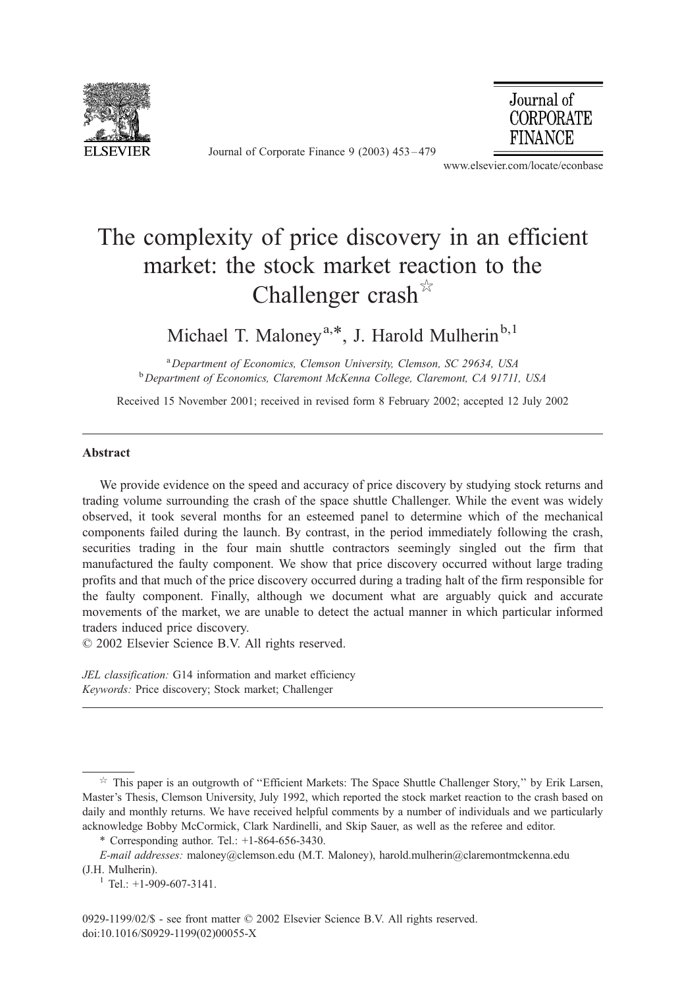

Journal of Corporate Finance 9 (2003) 453 – 479



www.elsevier.com/locate/econbase

# The complexity of price discovery in an efficient market: the stock market reaction to the Challenger crash<sup> $\%$ </sup>

## Michael T. Maloney<sup>a,\*</sup>, J. Harold Mulherin<sup>b,1</sup>

<sup>a</sup> Department of Economics, Clemson University, Clemson, SC 29634, USA <sup>b</sup> Department of Economics, Claremont McKenna College, Claremont, CA 91711, USA

Received 15 November 2001; received in revised form 8 February 2002; accepted 12 July 2002

#### Abstract

We provide evidence on the speed and accuracy of price discovery by studying stock returns and trading volume surrounding the crash of the space shuttle Challenger. While the event was widely observed, it took several months for an esteemed panel to determine which of the mechanical components failed during the launch. By contrast, in the period immediately following the crash, securities trading in the four main shuttle contractors seemingly singled out the firm that manufactured the faulty component. We show that price discovery occurred without large trading profits and that much of the price discovery occurred during a trading halt of the firm responsible for the faulty component. Finally, although we document what are arguably quick and accurate movements of the market, we are unable to detect the actual manner in which particular informed traders induced price discovery.

 $\odot$  2002 Elsevier Science B.V. All rights reserved.

JEL classification: G14 information and market efficiency Keywords: Price discovery; Stock market; Challenger

 $\hat{\tau}$  This paper is an outgrowth of "Efficient Markets: The Space Shuttle Challenger Story," by Erik Larsen, Master's Thesis, Clemson University, July 1992, which reported the stock market reaction to the crash based on daily and monthly returns. We have received helpful comments by a number of individuals and we particularly acknowledge Bobby McCormick, Clark Nardinelli, and Skip Sauer, as well as the referee and editor.

<sup>\*</sup> Corresponding author. Tel.: +1-864-656-3430.

E-mail addresses: maloney@clemson.edu (M.T. Maloney), harold.mulherin@claremontmckenna.edu (J.H. Mulherin).

 $1$  Tel.:  $+1-909-607-3141$ .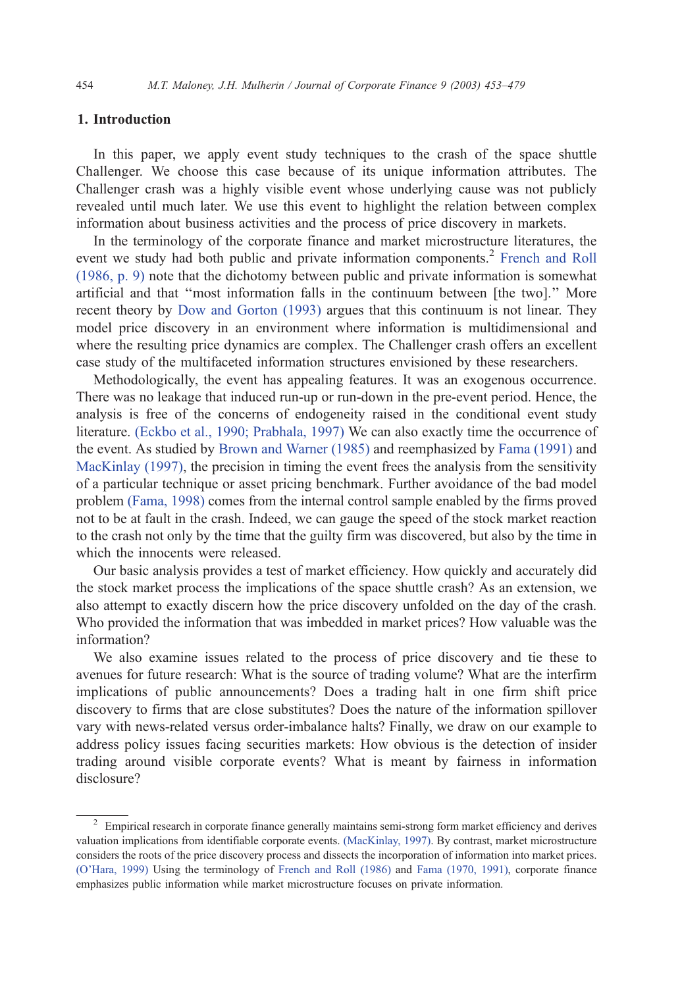### 1. Introduction

In this paper, we apply event study techniques to the crash of the space shuttle Challenger. We choose this case because of its unique information attributes. The Challenger crash was a highly visible event whose underlying cause was not publicly revealed until much later. We use this event to highlight the relation between complex information about business activities and the process of price discovery in markets.

In the terminology of the corporate finance and market microstructure literatures, the event we study had both public and private information components.<sup>2</sup> [French and Roll](#page-26-0) (1986, p. 9) note that the dichotomy between public and private information is somewhat artificial and that ''most information falls in the continuum between [the two].'' More recent theory by [Dow and Gorton \(1993\)](#page-25-0) argues that this continuum is not linear. They model price discovery in an environment where information is multidimensional and where the resulting price dynamics are complex. The Challenger crash offers an excellent case study of the multifaceted information structures envisioned by these researchers.

Methodologically, the event has appealing features. It was an exogenous occurrence. There was no leakage that induced run-up or run-down in the pre-event period. Hence, the analysis is free of the concerns of endogeneity raised in the conditional event study literature. [\(Eckbo et al., 1990; Prabhala, 1997\)](#page-25-0) We can also exactly time the occurrence of the event. As studied by [Brown and Warner \(1985\)](#page-25-0) and reemphasized by [Fama \(1991\)](#page-25-0) and [MacKinlay \(1997\)](#page-26-0), the precision in timing the event frees the analysis from the sensitivity of a particular technique or asset pricing benchmark. Further avoidance of the bad model problem [\(Fama, 1998\)](#page-25-0) comes from the internal control sample enabled by the firms proved not to be at fault in the crash. Indeed, we can gauge the speed of the stock market reaction to the crash not only by the time that the guilty firm was discovered, but also by the time in which the innocents were released.

Our basic analysis provides a test of market efficiency. How quickly and accurately did the stock market process the implications of the space shuttle crash? As an extension, we also attempt to exactly discern how the price discovery unfolded on the day of the crash. Who provided the information that was imbedded in market prices? How valuable was the information?

We also examine issues related to the process of price discovery and tie these to avenues for future research: What is the source of trading volume? What are the interfirm implications of public announcements? Does a trading halt in one firm shift price discovery to firms that are close substitutes? Does the nature of the information spillover vary with news-related versus order-imbalance halts? Finally, we draw on our example to address policy issues facing securities markets: How obvious is the detection of insider trading around visible corporate events? What is meant by fairness in information disclosure?

<sup>&</sup>lt;sup>2</sup> Empirical research in corporate finance generally maintains semi-strong form market efficiency and derives valuation implications from identifiable corporate events. [\(MacKinlay, 1997\).](#page-26-0) By contrast, market microstructure considers the roots of the price discovery process and dissects the incorporation of information into market prices. [\(O'Hara, 1999\)](#page-26-0) Using the terminology of [French and Roll \(1986\)](#page-26-0) and [Fama \(1970, 1991\),](#page-25-0) corporate finance emphasizes public information while market microstructure focuses on private information.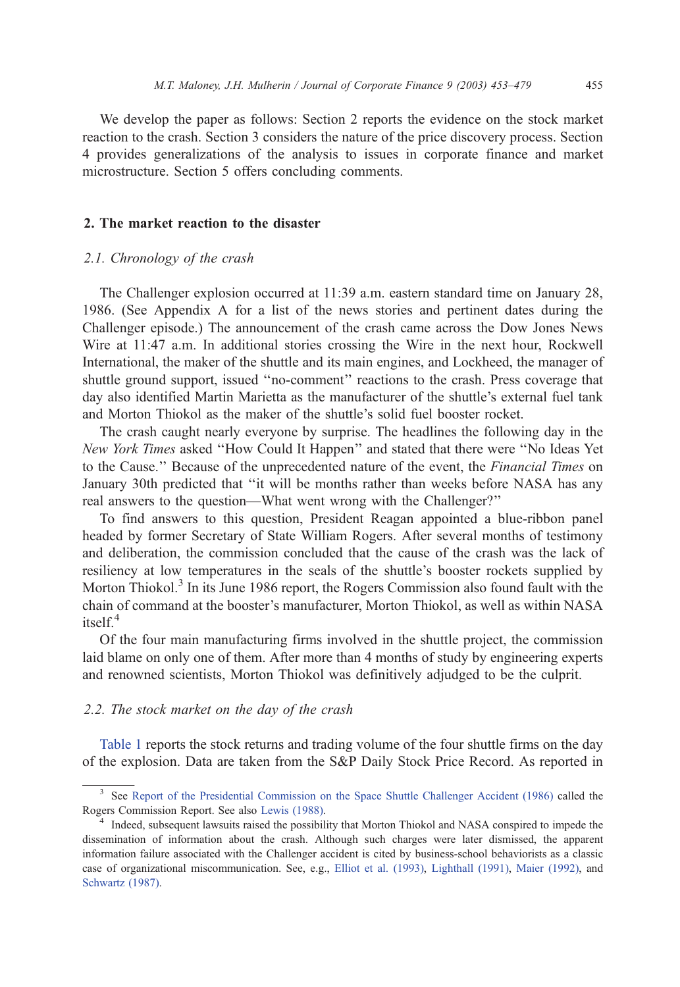We develop the paper as follows: Section 2 reports the evidence on the stock market reaction to the crash. Section 3 considers the nature of the price discovery process. Section 4 provides generalizations of the analysis to issues in corporate finance and market microstructure. Section 5 offers concluding comments.

#### 2. The market reaction to the disaster

#### 2.1. Chronology of the crash

The Challenger explosion occurred at 11:39 a.m. eastern standard time on January 28, 1986. (See Appendix A for a list of the news stories and pertinent dates during the Challenger episode.) The announcement of the crash came across the Dow Jones News Wire at 11:47 a.m. In additional stories crossing the Wire in the next hour, Rockwell International, the maker of the shuttle and its main engines, and Lockheed, the manager of shuttle ground support, issued ''no-comment'' reactions to the crash. Press coverage that day also identified Martin Marietta as the manufacturer of the shuttle's external fuel tank and Morton Thiokol as the maker of the shuttle's solid fuel booster rocket.

The crash caught nearly everyone by surprise. The headlines the following day in the New York Times asked ''How Could It Happen'' and stated that there were ''No Ideas Yet to the Cause.'' Because of the unprecedented nature of the event, the Financial Times on January 30th predicted that ''it will be months rather than weeks before NASA has any real answers to the question—What went wrong with the Challenger?''

To find answers to this question, President Reagan appointed a blue-ribbon panel headed by former Secretary of State William Rogers. After several months of testimony and deliberation, the commission concluded that the cause of the crash was the lack of resiliency at low temperatures in the seals of the shuttle's booster rockets supplied by Morton Thiokol.<sup>3</sup> In its June 1986 report, the Rogers Commission also found fault with the chain of command at the booster's manufacturer, Morton Thiokol, as well as within NASA itself.<sup>4</sup>

Of the four main manufacturing firms involved in the shuttle project, the commission laid blame on only one of them. After more than 4 months of study by engineering experts and renowned scientists, Morton Thiokol was definitively adjudged to be the culprit.

#### 2.2. The stock market on the day of the crash

[Table 1](#page-3-0) reports the stock returns and trading volume of the four shuttle firms on the day of the explosion. Data are taken from the S&P Daily Stock Price Record. As reported in

<sup>&</sup>lt;sup>3</sup> See [Report of the Presidential Commission on the Space Shuttle Challenger Accident \(1986\)](#page-26-0) called the Rogers Commission Report. See also [Lewis \(1988\).](#page-26-0)

<sup>&</sup>lt;sup>4</sup> Indeed, subsequent lawsuits raised the possibility that Morton Thiokol and NASA conspired to impede the dissemination of information about the crash. Although such charges were later dismissed, the apparent information failure associated with the Challenger accident is cited by business-school behaviorists as a classic case of organizational miscommunication. See, e.g., [Elliot et al. \(1993\),](#page-25-0) [Lighthall \(1991\),](#page-26-0) [Maier \(1992\),](#page-26-0) and [Schwartz \(1987\).](#page-26-0)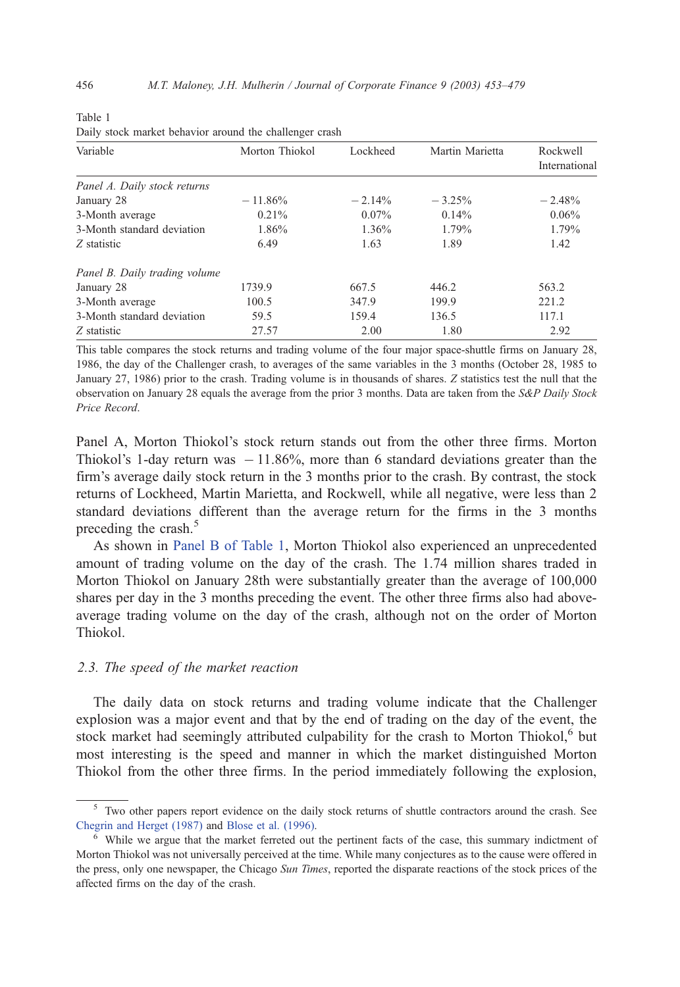| Variable                      | Morton Thiokol | Lockheed | Martin Marietta | Rockwell      |
|-------------------------------|----------------|----------|-----------------|---------------|
|                               |                |          |                 | International |
| Panel A. Daily stock returns  |                |          |                 |               |
| January 28                    | $-11.86\%$     | $-2.14%$ | $-3.25%$        | $-2.48%$      |
| 3-Month average               | $0.21\%$       | $0.07\%$ | $0.14\%$        | $0.06\%$      |
| 3-Month standard deviation    | 1.86%          | 1.36%    | 1.79%           | 1.79%         |
| Z statistic                   | 6.49           | 1.63     | 1.89            | 1.42          |
| Panel B. Daily trading volume |                |          |                 |               |
| January 28                    | 1739.9         | 667.5    | 446.2           | 563.2         |
| 3-Month average               | 100.5          | 347.9    | 199.9           | 221.2         |
| 3-Month standard deviation    | 59.5           | 159.4    | 136.5           | 117.1         |
| Z statistic                   | 27.57          | 2.00     | 1.80            | 2.92          |

| <b>TAUR</b> I |  |  |                                                         |  |
|---------------|--|--|---------------------------------------------------------|--|
|               |  |  | Daily stock market behavior around the challenger crash |  |

This table compares the stock returns and trading volume of the four major space-shuttle firms on January 28, 1986, the day of the Challenger crash, to averages of the same variables in the 3 months (October 28, 1985 to January 27, 1986) prior to the crash. Trading volume is in thousands of shares. Z statistics test the null that the observation on January 28 equals the average from the prior 3 months. Data are taken from the S&P Daily Stock Price Record.

Panel A, Morton Thiokol's stock return stands out from the other three firms. Morton Thiokol's 1-day return was  $-11.86\%$ , more than 6 standard deviations greater than the firm's average daily stock return in the 3 months prior to the crash. By contrast, the stock returns of Lockheed, Martin Marietta, and Rockwell, while all negative, were less than 2 standard deviations different than the average return for the firms in the 3 months preceding the crash.<sup>5</sup>

As shown in Panel B of Table 1, Morton Thiokol also experienced an unprecedented amount of trading volume on the day of the crash. The 1.74 million shares traded in Morton Thiokol on January 28th were substantially greater than the average of 100,000 shares per day in the 3 months preceding the event. The other three firms also had aboveaverage trading volume on the day of the crash, although not on the order of Morton Thiokol.

#### 2.3. The speed of the market reaction

The daily data on stock returns and trading volume indicate that the Challenger explosion was a major event and that by the end of trading on the day of the event, the stock market had seemingly attributed culpability for the crash to Morton Thiokol, $6$  but most interesting is the speed and manner in which the market distinguished Morton Thiokol from the other three firms. In the period immediately following the explosion,

<span id="page-3-0"></span>

Table 1

<sup>5</sup> Two other papers report evidence on the daily stock returns of shuttle contractors around the crash. See [Chegrin and Herget \(1987\)](#page-25-0) and [Blose et al. \(1996\).](#page-25-0)

<sup>&</sup>lt;sup>6</sup> While we argue that the market ferreted out the pertinent facts of the case, this summary indictment of Morton Thiokol was not universally perceived at the time. While many conjectures as to the cause were offered in the press, only one newspaper, the Chicago Sun Times, reported the disparate reactions of the stock prices of the affected firms on the day of the crash.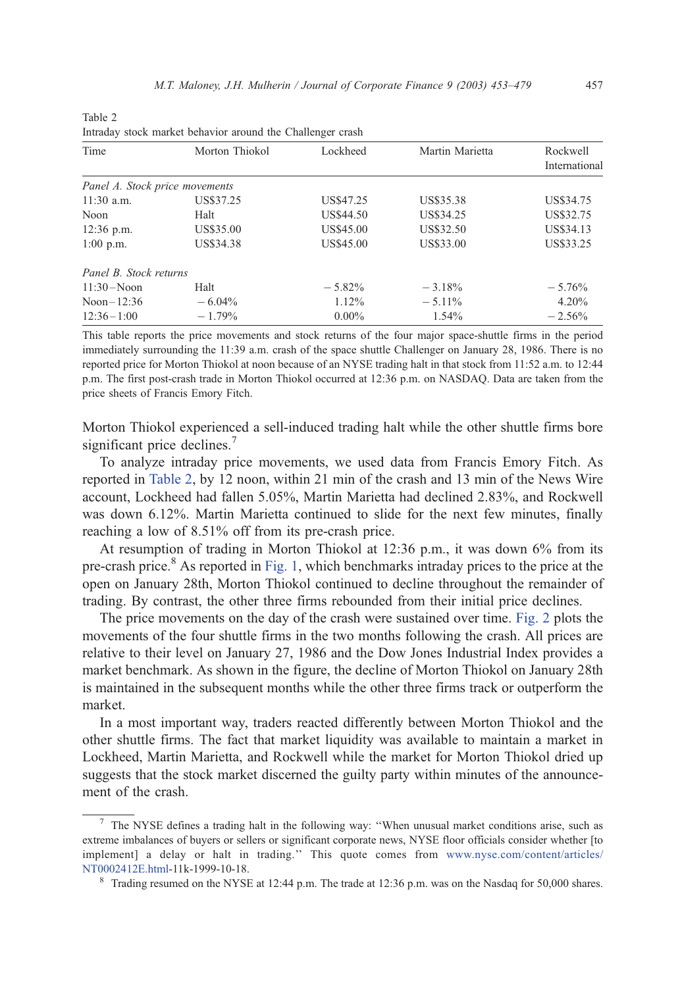| Time                           | Morton Thiokol | Lockheed  | Martin Marietta | Rockwell      |
|--------------------------------|----------------|-----------|-----------------|---------------|
|                                |                |           |                 | International |
| Panel A. Stock price movements |                |           |                 |               |
| $11:30$ a.m.                   | US\$37.25      | US\$47.25 | US\$35.38       | US\$34.75     |
| Noon                           | Halt           | US\$44.50 | US\$34.25       | US\$32.75     |
| $12:36$ p.m.                   | US\$35.00      | US\$45.00 | US\$32.50       | US\$34.13     |
| $1:00$ p.m.                    | US\$34.38      | US\$45.00 | US\$33.00       | US\$33.25     |
| Panel B. Stock returns         |                |           |                 |               |
| $11:30-N$ oon                  | Halt           | $-5.82%$  | $-3.18%$        | $-5.76%$      |
| Noon $-12:36$                  | $-6.04%$       | 1.12%     | $-5.11\%$       | $4.20\%$      |
| $12:36 - 1:00$                 | $-1.79%$       | $0.00\%$  | 1.54%           | $-2.56%$      |

Table 2 Intraday stock market behavior around the Challenger crash

This table reports the price movements and stock returns of the four major space-shuttle firms in the period immediately surrounding the 11:39 a.m. crash of the space shuttle Challenger on January 28, 1986. There is no reported price for Morton Thiokol at noon because of an NYSE trading halt in that stock from 11:52 a.m. to 12:44 p.m. The first post-crash trade in Morton Thiokol occurred at 12:36 p.m. on NASDAQ. Data are taken from the price sheets of Francis Emory Fitch.

Morton Thiokol experienced a sell-induced trading halt while the other shuttle firms bore significant price declines.<sup>7</sup>

To analyze intraday price movements, we used data from Francis Emory Fitch. As reported in Table 2, by 12 noon, within 21 min of the crash and 13 min of the News Wire account, Lockheed had fallen 5.05%, Martin Marietta had declined 2.83%, and Rockwell was down 6.12%. Martin Marietta continued to slide for the next few minutes, finally reaching a low of 8.51% off from its pre-crash price.

At resumption of trading in Morton Thiokol at 12:36 p.m., it was down 6% from its pre-crash price.<sup>8</sup> As reported in [Fig. 1,](#page-5-0) which benchmarks intraday prices to the price at the open on January 28th, Morton Thiokol continued to decline throughout the remainder of trading. By contrast, the other three firms rebounded from their initial price declines.

The price movements on the day of the crash were sustained over time. [Fig. 2](#page-5-0) plots the movements of the four shuttle firms in the two months following the crash. All prices are relative to their level on January 27, 1986 and the Dow Jones Industrial Index provides a market benchmark. As shown in the figure, the decline of Morton Thiokol on January 28th is maintained in the subsequent months while the other three firms track or outperform the market.

In a most important way, traders reacted differently between Morton Thiokol and the other shuttle firms. The fact that market liquidity was available to maintain a market in Lockheed, Martin Marietta, and Rockwell while the market for Morton Thiokol dried up suggests that the stock market discerned the guilty party within minutes of the announcement of the crash.

<sup>7</sup> The NYSE defines a trading halt in the following way: ''When unusual market conditions arise, such as extreme imbalances of buyers or sellers or significant corporate news, NYSE floor officials consider whether [to implement] a delay or halt in trading.'' This quote comes from [www.nyse.com/content/articles/]( www.nyse.com\content\articles\NT0002412E.html ) NT0002412E.html-11k-1999-10-18.

<sup>8</sup> Trading resumed on the NYSE at 12:44 p.m. The trade at 12:36 p.m. was on the Nasdaq for 50,000 shares.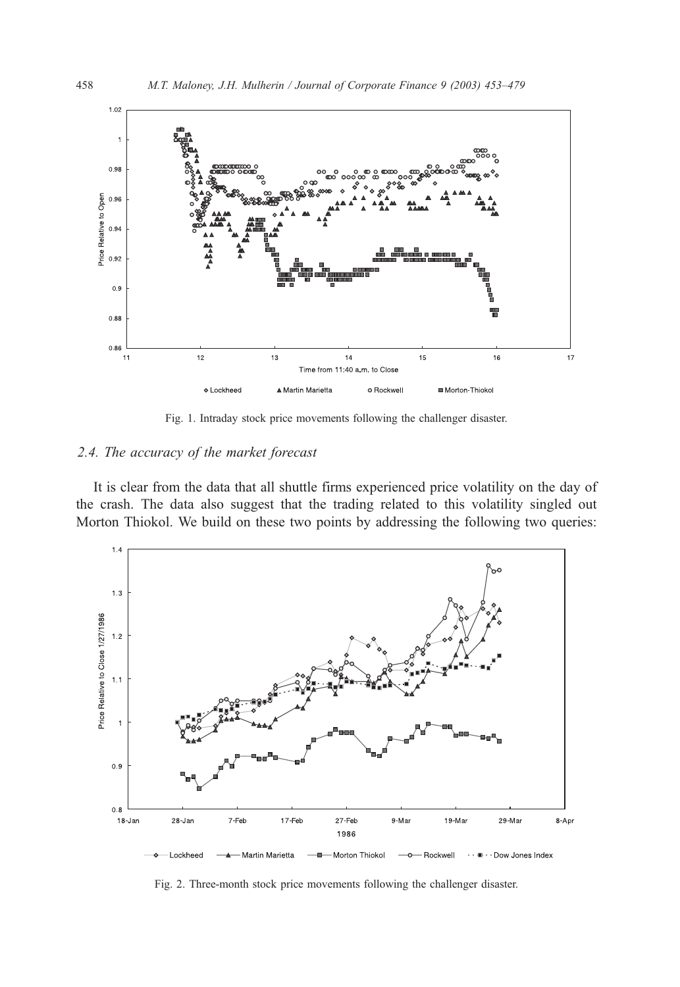<span id="page-5-0"></span>

Fig. 1. Intraday stock price movements following the challenger disaster.

#### 2.4. The accuracy of the market forecast

It is clear from the data that all shuttle firms experienced price volatility on the day of the crash. The data also suggest that the trading related to this volatility singled out Morton Thiokol. We build on these two points by addressing the following two queries:



Fig. 2. Three-month stock price movements following the challenger disaster.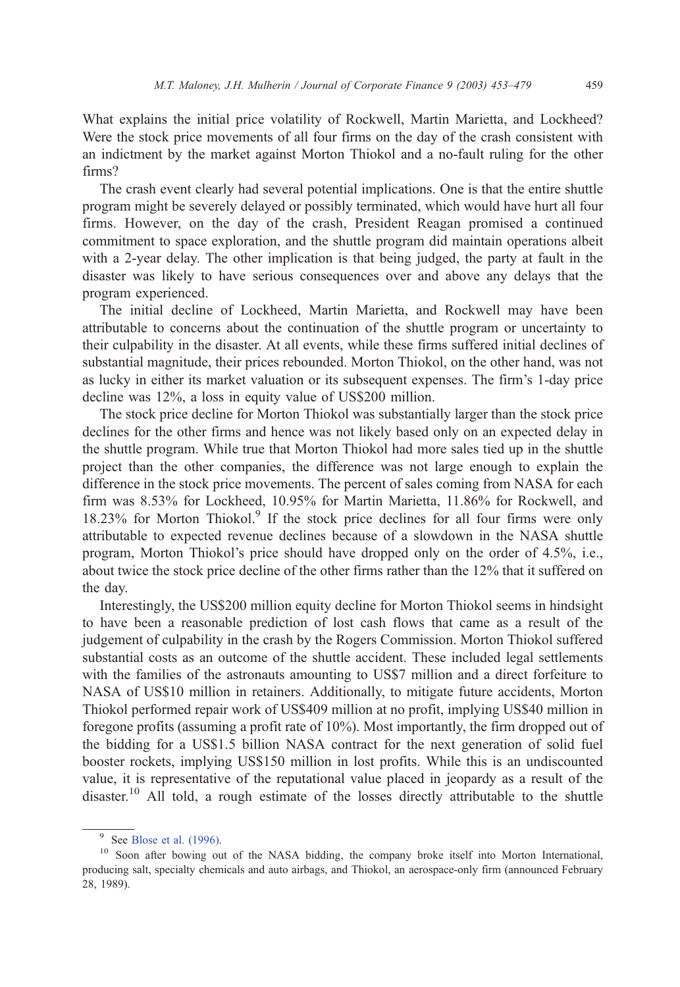What explains the initial price volatility of Rockwell, Martin Marietta, and Lockheed? Were the stock price movements of all four firms on the day of the crash consistent with an indictment by the market against Morton Thiokol and a no-fault ruling for the other firms?

The crash event clearly had several potential implications. One is that the entire shuttle program might be severely delayed or possibly terminated, which would have hurt all four firms. However, on the day of the crash, President Reagan promised a continued commitment to space exploration, and the shuttle program did maintain operations albeit with a 2-year delay. The other implication is that being judged, the party at fault in the disaster was likely to have serious consequences over and above any delays that the program experienced.

The initial decline of Lockheed, Martin Marietta, and Rockwell may have been attributable to concerns about the continuation of the shuttle program or uncertainty to their culpability in the disaster. At all events, while these firms suffered initial declines of substantial magnitude, their prices rebounded. Morton Thiokol, on the other hand, was not as lucky in either its market valuation or its subsequent expenses. The firm's 1-day price decline was 12%, a loss in equity value of US\$200 million.

The stock price decline for Morton Thiokol was substantially larger than the stock price declines for the other firms and hence was not likely based only on an expected delay in the shuttle program. While true that Morton Thiokol had more sales tied up in the shuttle project than the other companies, the difference was not large enough to explain the difference in the stock price movements. The percent of sales coming from NASA for each firm was 8.53% for Lockheed, 10.95% for Martin Marietta, 11.86% for Rockwell, and 18.23% for Morton Thiokol.<sup>9</sup> If the stock price declines for all four firms were only attributable to expected revenue declines because of a slowdown in the NASA shuttle program, Morton Thiokol's price should have dropped only on the order of 4.5%, i.e., about twice the stock price decline of the other firms rather than the 12% that it suffered on the day.

Interestingly, the US\$200 million equity decline for Morton Thiokol seems in hindsight to have been a reasonable prediction of lost cash flows that came as a result of the judgement of culpability in the crash by the Rogers Commission. Morton Thiokol suffered substantial costs as an outcome of the shuttle accident. These included legal settlements with the families of the astronauts amounting to US\$7 million and a direct forfeiture to NASA of US\$10 million in retainers. Additionally, to mitigate future accidents, Morton Thiokol performed repair work of US\$409 million at no profit, implying US\$40 million in foregone profits (assuming a profit rate of 10%). Most importantly, the firm dropped out of the bidding for a US\$1.5 billion NASA contract for the next generation of solid fuel booster rockets, implying US\$150 million in lost profits. While this is an undiscounted value, it is representative of the reputational value placed in jeopardy as a result of the disaster.<sup>10</sup> All told, a rough estimate of the losses directly attributable to the shuttle

 $9$  See [Blose et al. \(1996\).](#page-25-0)

<sup>&</sup>lt;sup>10</sup> Soon after bowing out of the NASA bidding, the company broke itself into Morton International, producing salt, specialty chemicals and auto airbags, and Thiokol, an aerospace-only firm (announced February 28, 1989).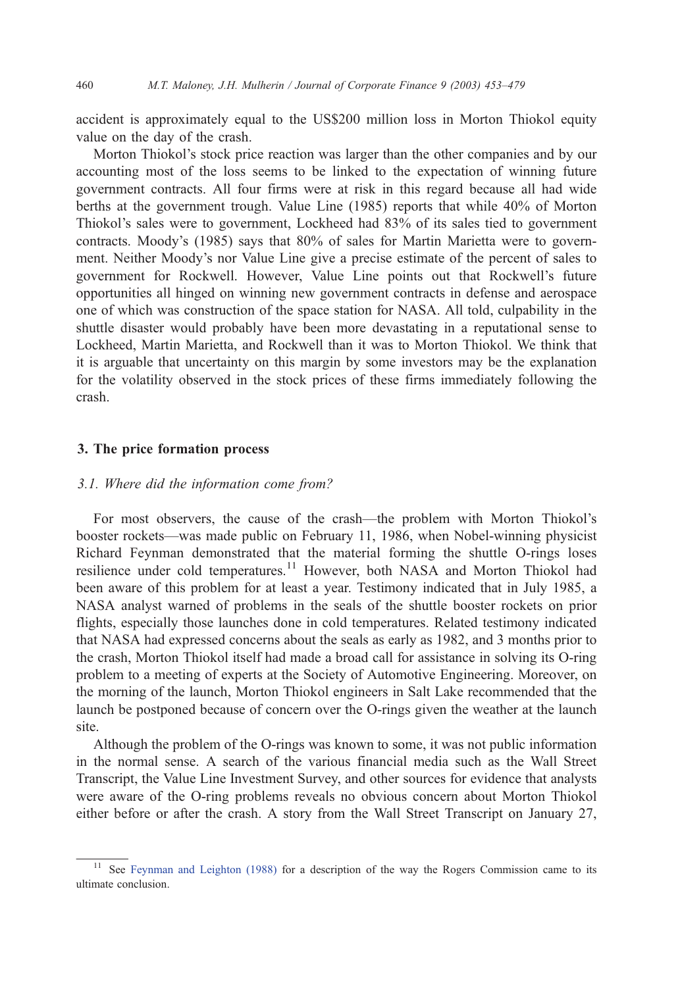accident is approximately equal to the US\$200 million loss in Morton Thiokol equity value on the day of the crash.

Morton Thiokol's stock price reaction was larger than the other companies and by our accounting most of the loss seems to be linked to the expectation of winning future government contracts. All four firms were at risk in this regard because all had wide berths at the government trough. Value Line (1985) reports that while 40% of Morton Thiokol's sales were to government, Lockheed had 83% of its sales tied to government contracts. Moody's (1985) says that 80% of sales for Martin Marietta were to government. Neither Moody's nor Value Line give a precise estimate of the percent of sales to government for Rockwell. However, Value Line points out that Rockwell's future opportunities all hinged on winning new government contracts in defense and aerospace one of which was construction of the space station for NASA. All told, culpability in the shuttle disaster would probably have been more devastating in a reputational sense to Lockheed, Martin Marietta, and Rockwell than it was to Morton Thiokol. We think that it is arguable that uncertainty on this margin by some investors may be the explanation for the volatility observed in the stock prices of these firms immediately following the crash.

#### 3. The price formation process

#### 3.1. Where did the information come from?

For most observers, the cause of the crash—the problem with Morton Thiokol's booster rockets—was made public on February 11, 1986, when Nobel-winning physicist Richard Feynman demonstrated that the material forming the shuttle O-rings loses resilience under cold temperatures.<sup>11</sup> However, both NASA and Morton Thiokol had been aware of this problem for at least a year. Testimony indicated that in July 1985, a NASA analyst warned of problems in the seals of the shuttle booster rockets on prior flights, especially those launches done in cold temperatures. Related testimony indicated that NASA had expressed concerns about the seals as early as 1982, and 3 months prior to the crash, Morton Thiokol itself had made a broad call for assistance in solving its O-ring problem to a meeting of experts at the Society of Automotive Engineering. Moreover, on the morning of the launch, Morton Thiokol engineers in Salt Lake recommended that the launch be postponed because of concern over the O-rings given the weather at the launch site.

Although the problem of the O-rings was known to some, it was not public information in the normal sense. A search of the various financial media such as the Wall Street Transcript, the Value Line Investment Survey, and other sources for evidence that analysts were aware of the O-ring problems reveals no obvious concern about Morton Thiokol either before or after the crash. A story from the Wall Street Transcript on January 27,

<sup>&</sup>lt;sup>11</sup> See [Feynman and Leighton \(1988\)](#page-25-0) for a description of the way the Rogers Commission came to its ultimate conclusion.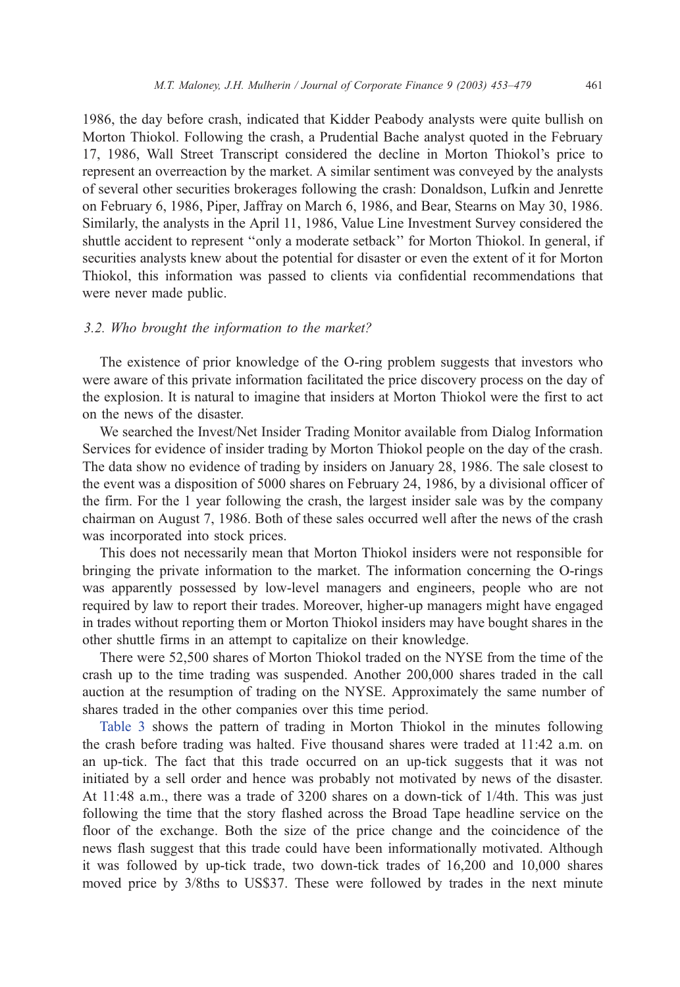1986, the day before crash, indicated that Kidder Peabody analysts were quite bullish on Morton Thiokol. Following the crash, a Prudential Bache analyst quoted in the February 17, 1986, Wall Street Transcript considered the decline in Morton Thiokol's price to represent an overreaction by the market. A similar sentiment was conveyed by the analysts of several other securities brokerages following the crash: Donaldson, Lufkin and Jenrette on February 6, 1986, Piper, Jaffray on March 6, 1986, and Bear, Stearns on May 30, 1986. Similarly, the analysts in the April 11, 1986, Value Line Investment Survey considered the shuttle accident to represent ''only a moderate setback'' for Morton Thiokol. In general, if securities analysts knew about the potential for disaster or even the extent of it for Morton Thiokol, this information was passed to clients via confidential recommendations that were never made public.

#### 3.2. Who brought the information to the market?

The existence of prior knowledge of the O-ring problem suggests that investors who were aware of this private information facilitated the price discovery process on the day of the explosion. It is natural to imagine that insiders at Morton Thiokol were the first to act on the news of the disaster.

We searched the Invest/Net Insider Trading Monitor available from Dialog Information Services for evidence of insider trading by Morton Thiokol people on the day of the crash. The data show no evidence of trading by insiders on January 28, 1986. The sale closest to the event was a disposition of 5000 shares on February 24, 1986, by a divisional officer of the firm. For the 1 year following the crash, the largest insider sale was by the company chairman on August 7, 1986. Both of these sales occurred well after the news of the crash was incorporated into stock prices.

This does not necessarily mean that Morton Thiokol insiders were not responsible for bringing the private information to the market. The information concerning the O-rings was apparently possessed by low-level managers and engineers, people who are not required by law to report their trades. Moreover, higher-up managers might have engaged in trades without reporting them or Morton Thiokol insiders may have bought shares in the other shuttle firms in an attempt to capitalize on their knowledge.

There were 52,500 shares of Morton Thiokol traded on the NYSE from the time of the crash up to the time trading was suspended. Another 200,000 shares traded in the call auction at the resumption of trading on the NYSE. Approximately the same number of shares traded in the other companies over this time period.

[Table 3](#page-9-0) shows the pattern of trading in Morton Thiokol in the minutes following the crash before trading was halted. Five thousand shares were traded at 11:42 a.m. on an up-tick. The fact that this trade occurred on an up-tick suggests that it was not initiated by a sell order and hence was probably not motivated by news of the disaster. At 11:48 a.m., there was a trade of 3200 shares on a down-tick of 1/4th. This was just following the time that the story flashed across the Broad Tape headline service on the floor of the exchange. Both the size of the price change and the coincidence of the news flash suggest that this trade could have been informationally motivated. Although it was followed by up-tick trade, two down-tick trades of 16,200 and 10,000 shares moved price by 3/8ths to US\$37. These were followed by trades in the next minute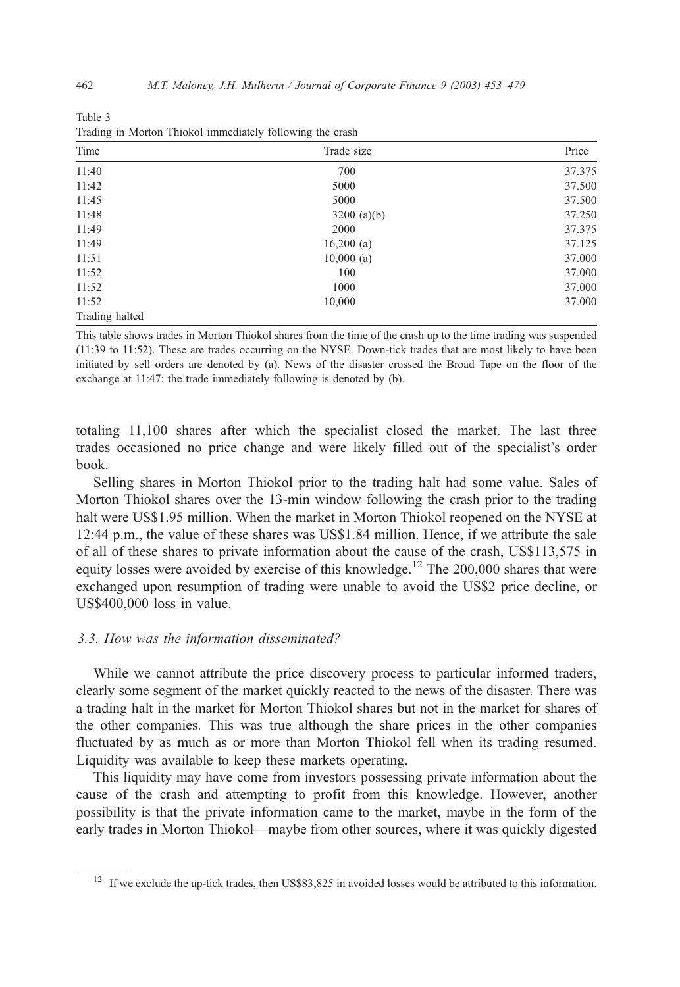| Time           | Trade size   | Price  |
|----------------|--------------|--------|
| 11:40          | 700          | 37.375 |
| 11:42          | 5000         | 37.500 |
| 11:45          | 5000         | 37.500 |
| 11:48          | 3200 (a)(b)  | 37.250 |
| 11:49          | 2000         | 37.375 |
| 11:49          | $16,200$ (a) | 37.125 |
| 11:51          | $10,000$ (a) | 37.000 |
| 11:52          | 100          | 37.000 |
| 11:52          | 1000         | 37.000 |
| 11:52          | 10,000       | 37.000 |
| Trading halted |              |        |

<span id="page-9-0"></span>Table 3 Trading in Morton Thiokol immediately following the crash

This table shows trades in Morton Thiokol shares from the time of the crash up to the time trading was suspended (11:39 to 11:52). These are trades occurring on the NYSE. Down-tick trades that are most likely to have been initiated by sell orders are denoted by (a). News of the disaster crossed the Broad Tape on the floor of the exchange at 11:47; the trade immediately following is denoted by (b).

totaling 11,100 shares after which the specialist closed the market. The last three trades occasioned no price change and were likely filled out of the specialist's order book.

Selling shares in Morton Thiokol prior to the trading halt had some value. Sales of Morton Thiokol shares over the 13-min window following the crash prior to the trading halt were US\$1.95 million. When the market in Morton Thiokol reopened on the NYSE at 12:44 p.m., the value of these shares was US\$1.84 million. Hence, if we attribute the sale of all of these shares to private information about the cause of the crash, US\$113,575 in equity losses were avoided by exercise of this knowledge.<sup>12</sup> The 200,000 shares that were exchanged upon resumption of trading were unable to avoid the US\$2 price decline, or US\$400,000 loss in value.

#### 3.3. How was the information disseminated?

While we cannot attribute the price discovery process to particular informed traders, clearly some segment of the market quickly reacted to the news of the disaster. There was a trading halt in the market for Morton Thiokol shares but not in the market for shares of the other companies. This was true although the share prices in the other companies fluctuated by as much as or more than Morton Thiokol fell when its trading resumed. Liquidity was available to keep these markets operating.

This liquidity may have come from investors possessing private information about the cause of the crash and attempting to profit from this knowledge. However, another possibility is that the private information came to the market, maybe in the form of the early trades in Morton Thiokol—maybe from other sources, where it was quickly digested

<sup>&</sup>lt;sup>12</sup> If we exclude the up-tick trades, then US\$83,825 in avoided losses would be attributed to this information.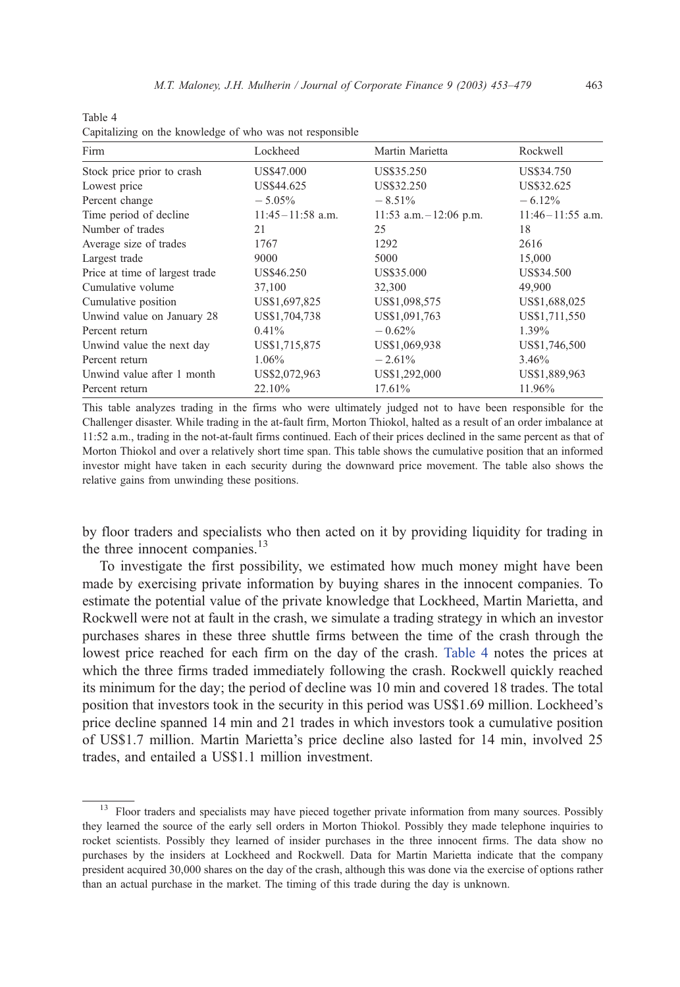<span id="page-10-0"></span>Table 4

|  | Capitalizing on the knowledge of who was not responsible |  |  |
|--|----------------------------------------------------------|--|--|
|--|----------------------------------------------------------|--|--|

| Firm                           | Lockheed             | Martin Marietta          | Rockwell             |
|--------------------------------|----------------------|--------------------------|----------------------|
| Stock price prior to crash     | US\$47.000           | US\$35.250               | US\$34.750           |
| Lowest price                   | US\$44.625           | US\$32.250               | US\$32.625           |
| Percent change                 | $-5.05%$             | $-8.51%$                 | $-6.12%$             |
| Time period of decline         | $11:45 - 11:58$ a.m. | 11:53 a.m. $-12:06$ p.m. | $11:46 - 11:55$ a.m. |
| Number of trades               | 21                   | 25                       | 18                   |
| Average size of trades         | 1767                 | 1292                     | 2616                 |
| Largest trade                  | 9000                 | 5000                     | 15,000               |
| Price at time of largest trade | US\$46.250           | US\$35.000               | US\$34.500           |
| Cumulative volume              | 37,100               | 32,300                   | 49,900               |
| Cumulative position            | US\$1,697,825        | US\$1,098,575            | US\$1,688,025        |
| Unwind value on January 28     | US\$1,704,738        | US\$1,091,763            | US\$1,711,550        |
| Percent return                 | $0.41\%$             | $-0.62%$                 | 1.39%                |
| Unwind value the next day      | US\$1,715,875        | US\$1,069,938            | US\$1,746,500        |
| Percent return                 | $1.06\%$             | $-2.61%$                 | 3.46%                |
| Unwind value after 1 month     | US\$2,072,963        | US\$1,292,000            | US\$1,889,963        |
| Percent return                 | 22.10%               | 17.61%                   | 11.96%               |

This table analyzes trading in the firms who were ultimately judged not to have been responsible for the Challenger disaster. While trading in the at-fault firm, Morton Thiokol, halted as a result of an order imbalance at 11:52 a.m., trading in the not-at-fault firms continued. Each of their prices declined in the same percent as that of Morton Thiokol and over a relatively short time span. This table shows the cumulative position that an informed investor might have taken in each security during the downward price movement. The table also shows the relative gains from unwinding these positions.

by floor traders and specialists who then acted on it by providing liquidity for trading in the three innocent companies.<sup>13</sup>

To investigate the first possibility, we estimated how much money might have been made by exercising private information by buying shares in the innocent companies. To estimate the potential value of the private knowledge that Lockheed, Martin Marietta, and Rockwell were not at fault in the crash, we simulate a trading strategy in which an investor purchases shares in these three shuttle firms between the time of the crash through the lowest price reached for each firm on the day of the crash. Table 4 notes the prices at which the three firms traded immediately following the crash. Rockwell quickly reached its minimum for the day; the period of decline was 10 min and covered 18 trades. The total position that investors took in the security in this period was US\$1.69 million. Lockheed's price decline spanned 14 min and 21 trades in which investors took a cumulative position of US\$1.7 million. Martin Marietta's price decline also lasted for 14 min, involved 25 trades, and entailed a US\$1.1 million investment.

<sup>&</sup>lt;sup>13</sup> Floor traders and specialists may have pieced together private information from many sources. Possibly they learned the source of the early sell orders in Morton Thiokol. Possibly they made telephone inquiries to rocket scientists. Possibly they learned of insider purchases in the three innocent firms. The data show no purchases by the insiders at Lockheed and Rockwell. Data for Martin Marietta indicate that the company president acquired 30,000 shares on the day of the crash, although this was done via the exercise of options rather than an actual purchase in the market. The timing of this trade during the day is unknown.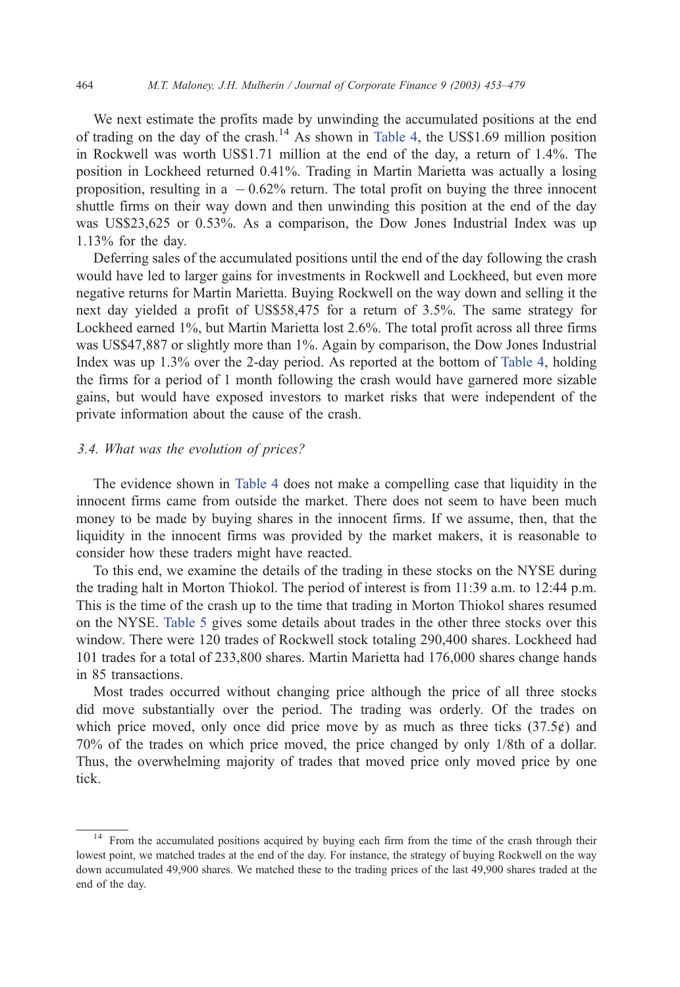We next estimate the profits made by unwinding the accumulated positions at the end of trading on the day of the crash.<sup>14</sup> As shown in [Table 4,](#page-10-0) the US\$1.69 million position in Rockwell was worth US\$1.71 million at the end of the day, a return of 1.4%. The position in Lockheed returned 0.41%. Trading in Martin Marietta was actually a losing proposition, resulting in a  $-0.62\%$  return. The total profit on buying the three innocent shuttle firms on their way down and then unwinding this position at the end of the day was US\$23,625 or 0.53%. As a comparison, the Dow Jones Industrial Index was up 1.13% for the day.

Deferring sales of the accumulated positions until the end of the day following the crash would have led to larger gains for investments in Rockwell and Lockheed, but even more negative returns for Martin Marietta. Buying Rockwell on the way down and selling it the next day yielded a profit of US\$58,475 for a return of 3.5%. The same strategy for Lockheed earned 1%, but Martin Marietta lost 2.6%. The total profit across all three firms was US\$47,887 or slightly more than 1%. Again by comparison, the Dow Jones Industrial Index was up 1.3% over the 2-day period. As reported at the bottom of [Table 4,](#page-10-0) holding the firms for a period of 1 month following the crash would have garnered more sizable gains, but would have exposed investors to market risks that were independent of the private information about the cause of the crash.

#### 3.4. What was the evolution of prices?

The evidence shown in [Table 4](#page-10-0) does not make a compelling case that liquidity in the innocent firms came from outside the market. There does not seem to have been much money to be made by buying shares in the innocent firms. If we assume, then, that the liquidity in the innocent firms was provided by the market makers, it is reasonable to consider how these traders might have reacted.

To this end, we examine the details of the trading in these stocks on the NYSE during the trading halt in Morton Thiokol. The period of interest is from 11:39 a.m. to 12:44 p.m. This is the time of the crash up to the time that trading in Morton Thiokol shares resumed on the NYSE. [Table 5](#page-12-0) gives some details about trades in the other three stocks over this window. There were 120 trades of Rockwell stock totaling 290,400 shares. Lockheed had 101 trades for a total of 233,800 shares. Martin Marietta had 176,000 shares change hands in 85 transactions.

Most trades occurred without changing price although the price of all three stocks did move substantially over the period. The trading was orderly. Of the trades on which price moved, only once did price move by as much as three ticks  $(37.5¢)$  and 70% of the trades on which price moved, the price changed by only 1/8th of a dollar. Thus, the overwhelming majority of trades that moved price only moved price by one tick.

<sup>&</sup>lt;sup>14</sup> From the accumulated positions acquired by buying each firm from the time of the crash through their lowest point, we matched trades at the end of the day. For instance, the strategy of buying Rockwell on the way down accumulated 49,900 shares. We matched these to the trading prices of the last 49,900 shares traded at the end of the day.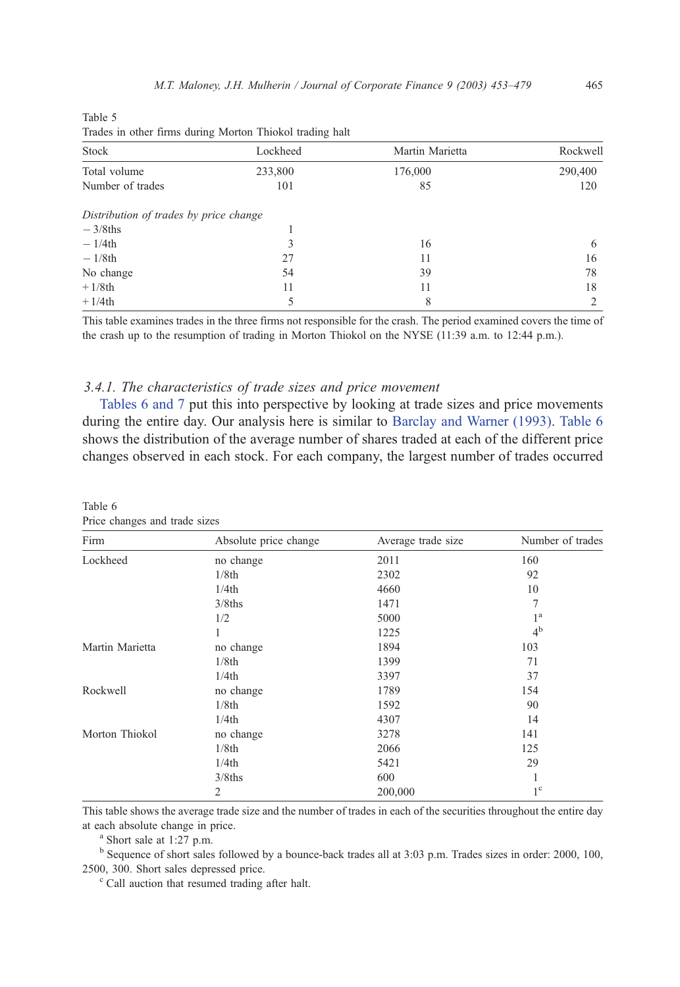| Stock                                  | Lockheed | Martin Marietta | Rockwell |
|----------------------------------------|----------|-----------------|----------|
| Total volume                           | 233,800  | 176,000         | 290,400  |
| Number of trades                       | 101      | 85              | 120      |
| Distribution of trades by price change |          |                 |          |
| $-3/8$ ths                             |          |                 |          |
| $-1/4$ th                              | 3        | 16              | 6        |
| $-1/8$ th                              | 27       | 11              | 16       |
| No change                              | 54       | 39              | 78       |
| $+1/8$ th                              | 11       | 11              | 18       |
| $+1/4$ th                              |          | 8               | 2        |

<span id="page-12-0"></span>Table 5 Trades in other firms during Morton Thiokol trading halt

This table examines trades in the three firms not responsible for the crash. The period examined covers the time of the crash up to the resumption of trading in Morton Thiokol on the NYSE (11:39 a.m. to 12:44 p.m.).

#### 3.4.1. The characteristics of trade sizes and price movement

Tables 6 and 7 put this into perspective by looking at trade sizes and price movements during the entire day. Our analysis here is similar to [Barclay and Warner \(1993\).](#page-25-0) Table 6 shows the distribution of the average number of shares traded at each of the different price changes observed in each stock. For each company, the largest number of trades occurred

| Firm            | Absolute price change | Average trade size | Number of trades |
|-----------------|-----------------------|--------------------|------------------|
| Lockheed        | no change             | 2011               | 160              |
|                 | 1/8th                 | 2302               | 92               |
|                 | 1/4th                 | 4660               | 10               |
|                 | $3/8$ ths             | 1471               | 7                |
|                 | 1/2                   | 5000               | 1 <sup>a</sup>   |
|                 | 1                     | 1225               | 4 <sup>b</sup>   |
| Martin Marietta | no change             | 1894               | 103              |
|                 | 1/8th                 | 1399               | 71               |
|                 | 1/4th                 | 3397               | 37               |
| Rockwell        | no change             | 1789               | 154              |
|                 | 1/8th                 | 1592               | 90               |
|                 | 1/4th                 | 4307               | 14               |
| Morton Thiokol  | no change             | 3278               | 141              |
|                 | 1/8th                 | 2066               | 125              |
|                 | 1/4th                 | 5421               | 29               |
|                 | $3/8$ ths             | 600                | 1                |
|                 | 2                     | 200,000            | $1^{\circ}$      |

Table 6 Price changes and trade sizes

This table shows the average trade size and the number of trades in each of the securities throughout the entire day at each absolute change in price.<br><sup>a</sup> Short sale at 1:27 p.m.

<sup>b</sup> Sequence of short sales followed by a bounce-back trades all at 3:03 p.m. Trades sizes in order: 2000, 100, 2500, 300. Short sales depressed price.

<sup>c</sup> Call auction that resumed trading after halt.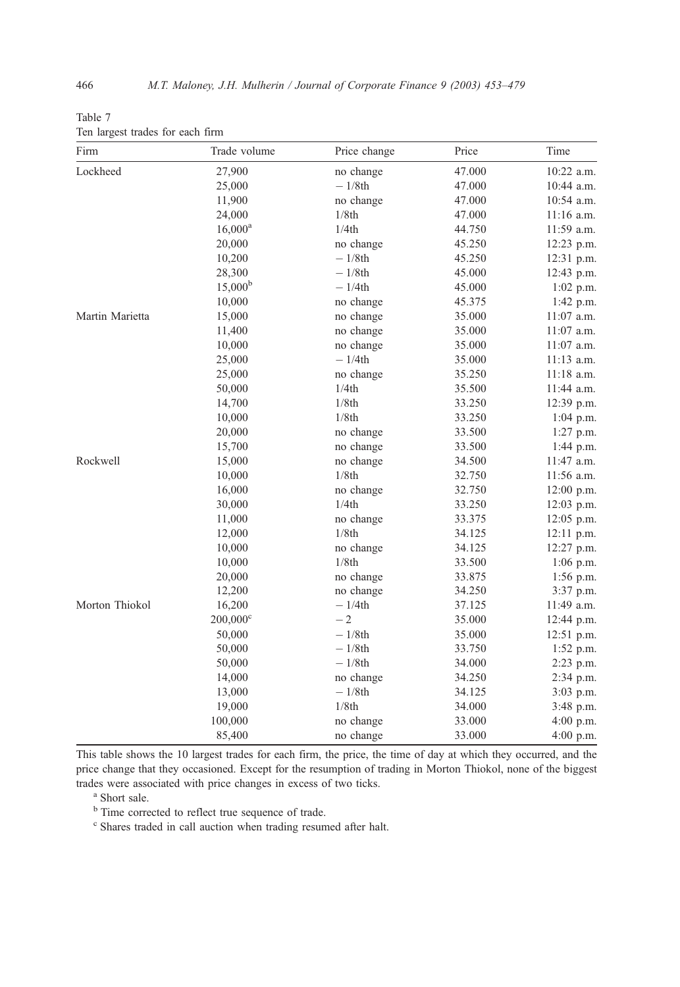| Table 7 |                                  |  |  |
|---------|----------------------------------|--|--|
|         | Ten largest trades for each firm |  |  |

| Firm            | Trade volume      | Price change | Price  | Time         |
|-----------------|-------------------|--------------|--------|--------------|
| Lockheed        | 27,900            | no change    | 47.000 | 10:22 a.m.   |
|                 | 25,000            | $-1/8$ th    | 47.000 | 10:44 a.m.   |
|                 | 11,900            | no change    | 47.000 | 10:54 a.m.   |
|                 | 24,000            | 1/8th        | 47.000 | $11:16$ a.m. |
|                 | $16,000^a$        | 1/4th        | 44.750 | 11:59 a.m.   |
|                 | 20,000            | no change    | 45.250 | 12:23 p.m.   |
|                 | 10,200            | $-1/8$ th    | 45.250 | 12:31 p.m.   |
|                 | 28,300            | $-1/8$ th    | 45.000 | 12:43 p.m.   |
|                 | $15,000^{\rm b}$  | $-1/4th$     | 45.000 | $1:02$ p.m.  |
|                 | 10,000            | no change    | 45.375 | 1:42 p.m.    |
| Martin Marietta | 15,000            | no change    | 35.000 | 11:07 a.m.   |
|                 | 11,400            | no change    | 35.000 | 11:07 a.m.   |
|                 | 10,000            | no change    | 35.000 | 11:07 a.m.   |
|                 | 25,000            | $-1/4th$     | 35.000 | 11:13 a.m.   |
|                 | 25,000            | no change    | 35.250 | $11:18$ a.m. |
|                 | 50,000            | 1/4th        | 35.500 | 11:44 a.m.   |
|                 | 14,700            | 1/8th        | 33.250 | 12:39 p.m.   |
|                 | 10,000            | 1/8th        | 33.250 | $1:04$ p.m.  |
|                 | 20,000            | no change    | 33.500 | $1:27$ p.m.  |
|                 | 15,700            | no change    | 33.500 | 1:44 p.m.    |
| Rockwell        | 15,000            | no change    | 34.500 | 11:47 a.m.   |
|                 | 10,000            | 1/8th        | 32.750 | 11:56 a.m.   |
|                 | 16,000            | no change    | 32.750 | $12:00$ p.m. |
|                 | 30,000            | 1/4th        | 33.250 | 12:03 p.m.   |
|                 | 11,000            | no change    | 33.375 | 12:05 p.m.   |
|                 | 12,000            | 1/8th        | 34.125 | $12:11$ p.m. |
|                 | 10,000            | no change    | 34.125 | 12:27 p.m.   |
|                 | 10,000            | 1/8th        | 33.500 | $1:06$ p.m.  |
|                 | 20,000            | no change    | 33.875 | 1:56 p.m.    |
|                 | 12,200            | no change    | 34.250 | 3:37 p.m.    |
| Morton Thiokol  | 16,200            | $-1/4th$     | 37.125 | 11:49 a.m.   |
|                 | $200,000^{\circ}$ | $-2$         | 35.000 | 12:44 p.m.   |
|                 | 50,000            | $-1/8$ th    | 35.000 | 12:51 p.m.   |
|                 | 50,000            | $-1/8$ th    | 33.750 | $1:52$ p.m.  |
|                 | 50,000            | $-1/8$ th    | 34.000 | 2:23 p.m.    |
|                 | 14,000            | no change    | 34.250 | 2:34 p.m.    |
|                 | 13,000            | $-1/8$ th    | 34.125 | 3:03 p.m.    |
|                 | 19,000            | 1/8th        | 34.000 | 3:48 p.m.    |
|                 | 100,000           | no change    | 33.000 | $4:00$ p.m.  |
|                 | 85,400            | no change    | 33.000 | $4:00$ p.m.  |

This table shows the 10 largest trades for each firm, the price, the time of day at which they occurred, and the price change that they occasioned. Except for the resumption of trading in Morton Thiokol, none of the biggest trades were associated with price changes in excess of two ticks. a Short sale.

<sup>b</sup> Time corrected to reflect true sequence of trade.

<sup>c</sup> Shares traded in call auction when trading resumed after halt.

<span id="page-13-0"></span>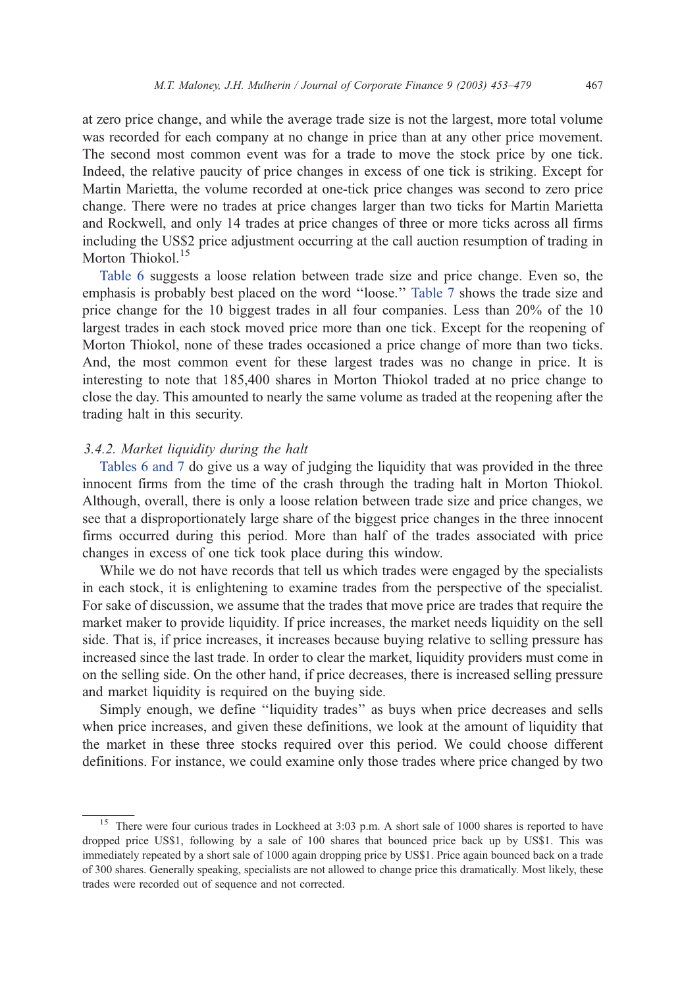at zero price change, and while the average trade size is not the largest, more total volume was recorded for each company at no change in price than at any other price movement. The second most common event was for a trade to move the stock price by one tick. Indeed, the relative paucity of price changes in excess of one tick is striking. Except for Martin Marietta, the volume recorded at one-tick price changes was second to zero price change. There were no trades at price changes larger than two ticks for Martin Marietta and Rockwell, and only 14 trades at price changes of three or more ticks across all firms including the US\$2 price adjustment occurring at the call auction resumption of trading in Morton Thiokol.<sup>15</sup>

[Table 6](#page-12-0) suggests a loose relation between trade size and price change. Even so, the emphasis is probably best placed on the word ''loose.'' [Table 7](#page-13-0) shows the trade size and price change for the 10 biggest trades in all four companies. Less than 20% of the 10 largest trades in each stock moved price more than one tick. Except for the reopening of Morton Thiokol, none of these trades occasioned a price change of more than two ticks. And, the most common event for these largest trades was no change in price. It is interesting to note that 185,400 shares in Morton Thiokol traded at no price change to close the day. This amounted to nearly the same volume as traded at the reopening after the trading halt in this security.

#### 3.4.2. Market liquidity during the halt

[Tables 6 and 7](#page-12-0) do give us a way of judging the liquidity that was provided in the three innocent firms from the time of the crash through the trading halt in Morton Thiokol. Although, overall, there is only a loose relation between trade size and price changes, we see that a disproportionately large share of the biggest price changes in the three innocent firms occurred during this period. More than half of the trades associated with price changes in excess of one tick took place during this window.

While we do not have records that tell us which trades were engaged by the specialists in each stock, it is enlightening to examine trades from the perspective of the specialist. For sake of discussion, we assume that the trades that move price are trades that require the market maker to provide liquidity. If price increases, the market needs liquidity on the sell side. That is, if price increases, it increases because buying relative to selling pressure has increased since the last trade. In order to clear the market, liquidity providers must come in on the selling side. On the other hand, if price decreases, there is increased selling pressure and market liquidity is required on the buying side.

Simply enough, we define ''liquidity trades'' as buys when price decreases and sells when price increases, and given these definitions, we look at the amount of liquidity that the market in these three stocks required over this period. We could choose different definitions. For instance, we could examine only those trades where price changed by two

<sup>&</sup>lt;sup>15</sup> There were four curious trades in Lockheed at 3:03 p.m. A short sale of 1000 shares is reported to have dropped price US\$1, following by a sale of 100 shares that bounced price back up by US\$1. This was immediately repeated by a short sale of 1000 again dropping price by US\$1. Price again bounced back on a trade of 300 shares. Generally speaking, specialists are not allowed to change price this dramatically. Most likely, these trades were recorded out of sequence and not corrected.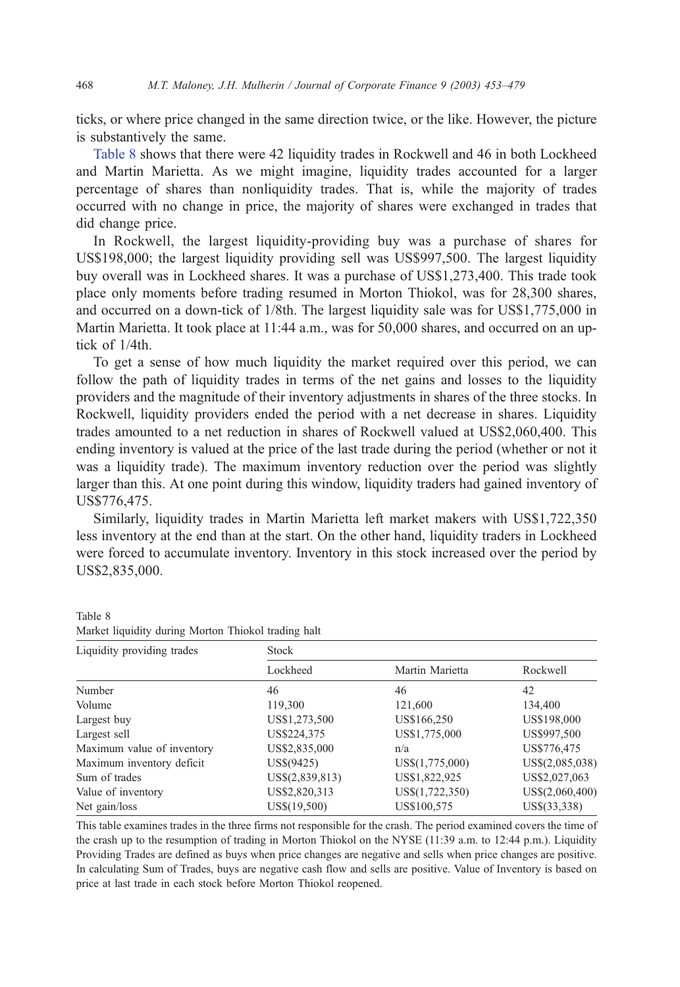ticks, or where price changed in the same direction twice, or the like. However, the picture is substantively the same.

Table 8 shows that there were 42 liquidity trades in Rockwell and 46 in both Lockheed and Martin Marietta. As we might imagine, liquidity trades accounted for a larger percentage of shares than nonliquidity trades. That is, while the majority of trades occurred with no change in price, the majority of shares were exchanged in trades that did change price.

In Rockwell, the largest liquidity-providing buy was a purchase of shares for US\$198,000; the largest liquidity providing sell was US\$997,500. The largest liquidity buy overall was in Lockheed shares. It was a purchase of US\$1,273,400. This trade took place only moments before trading resumed in Morton Thiokol, was for 28,300 shares, and occurred on a down-tick of 1/8th. The largest liquidity sale was for US\$1,775,000 in Martin Marietta. It took place at 11:44 a.m., was for 50,000 shares, and occurred on an uptick of 1/4th.

To get a sense of how much liquidity the market required over this period, we can follow the path of liquidity trades in terms of the net gains and losses to the liquidity providers and the magnitude of their inventory adjustments in shares of the three stocks. In Rockwell, liquidity providers ended the period with a net decrease in shares. Liquidity trades amounted to a net reduction in shares of Rockwell valued at US\$2,060,400. This ending inventory is valued at the price of the last trade during the period (whether or not it was a liquidity trade). The maximum inventory reduction over the period was slightly larger than this. At one point during this window, liquidity traders had gained inventory of US\$776,475.

Similarly, liquidity trades in Martin Marietta left market makers with US\$1,722,350 less inventory at the end than at the start. On the other hand, liquidity traders in Lockheed were forced to accumulate inventory. Inventory in this stock increased over the period by US\$2,835,000.

| Liquidity providing trades | <b>Stock</b>    |                 |                 |  |  |
|----------------------------|-----------------|-----------------|-----------------|--|--|
|                            | Lockheed        | Martin Marietta | Rockwell        |  |  |
| Number                     | 46              | 46              | 42              |  |  |
| Volume                     | 119,300         | 121,600         | 134,400         |  |  |
| Largest buy                | US\$1,273,500   | US\$166,250     | US\$198,000     |  |  |
| Largest sell               | US\$224,375     | US\$1,775,000   | US\$997,500     |  |  |
| Maximum value of inventory | US\$2,835,000   | n/a             | US\$776,475     |  |  |
| Maximum inventory deficit  | US\$(9425)      | US\$(1,775,000) | US\$(2,085,038) |  |  |
| Sum of trades              | US\$(2,839,813) | US\$1,822,925   | US\$2,027,063   |  |  |
| Value of inventory         | US\$2,820,313   | US\$(1,722,350) | US\$(2,060,400) |  |  |
| Net gain/loss              | US\$(19,500)    | US\$100,575     | US\$(33,338)    |  |  |

Table 8 Market liquidity during Morton Thiokol trading halt

This table examines trades in the three firms not responsible for the crash. The period examined covers the time of the crash up to the resumption of trading in Morton Thiokol on the NYSE (11:39 a.m. to 12:44 p.m.). Liquidity Providing Trades are defined as buys when price changes are negative and sells when price changes are positive. In calculating Sum of Trades, buys are negative cash flow and sells are positive. Value of Inventory is based on price at last trade in each stock before Morton Thiokol reopened.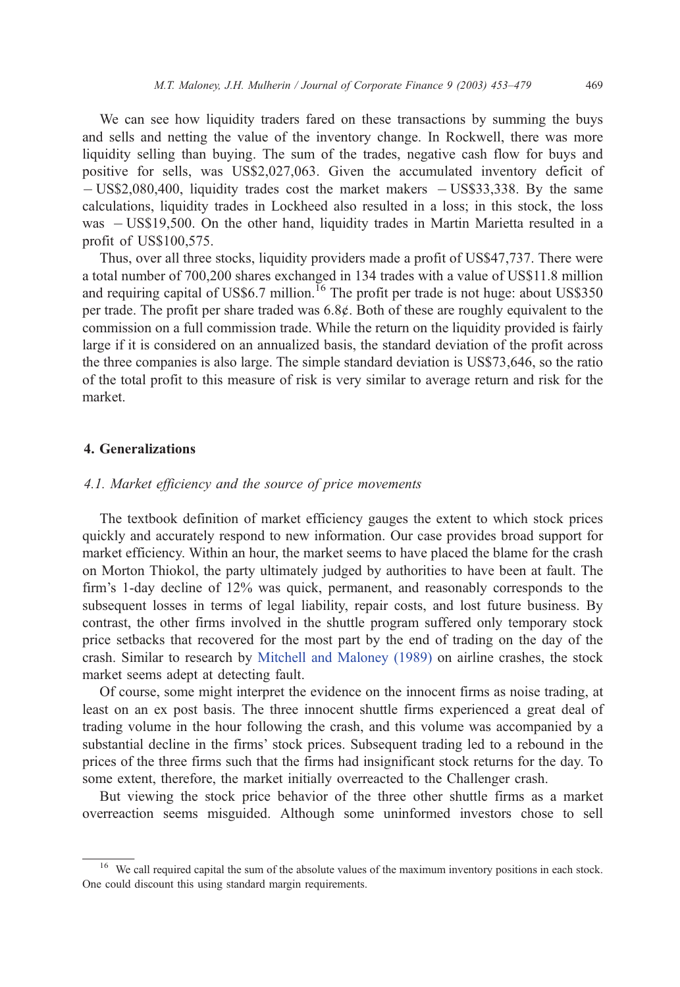We can see how liquidity traders fared on these transactions by summing the buys and sells and netting the value of the inventory change. In Rockwell, there was more liquidity selling than buying. The sum of the trades, negative cash flow for buys and positive for sells, was US\$2,027,063. Given the accumulated inventory deficit of  $-U$ S\$2,080,400, liquidity trades cost the market makers  $-U$ S\$33,338. By the same calculations, liquidity trades in Lockheed also resulted in a loss; in this stock, the loss was  $-$  US\$19,500. On the other hand, liquidity trades in Martin Marietta resulted in a profit of US\$100,575.

Thus, over all three stocks, liquidity providers made a profit of US\$47,737. There were a total number of 700,200 shares exchanged in 134 trades with a value of US\$11.8 million and requiring capital of US\$6.7 million.<sup>16</sup> The profit per trade is not huge: about US\$350 per trade. The profit per share traded was 6.8¢. Both of these are roughly equivalent to the commission on a full commission trade. While the return on the liquidity provided is fairly large if it is considered on an annualized basis, the standard deviation of the profit across the three companies is also large. The simple standard deviation is US\$73,646, so the ratio of the total profit to this measure of risk is very similar to average return and risk for the market.

#### 4. Generalizations

#### 4.1. Market efficiency and the source of price movements

The textbook definition of market efficiency gauges the extent to which stock prices quickly and accurately respond to new information. Our case provides broad support for market efficiency. Within an hour, the market seems to have placed the blame for the crash on Morton Thiokol, the party ultimately judged by authorities to have been at fault. The firm's 1-day decline of 12% was quick, permanent, and reasonably corresponds to the subsequent losses in terms of legal liability, repair costs, and lost future business. By contrast, the other firms involved in the shuttle program suffered only temporary stock price setbacks that recovered for the most part by the end of trading on the day of the crash. Similar to research by [Mitchell and Maloney \(1989\)](#page-26-0) on airline crashes, the stock market seems adept at detecting fault.

Of course, some might interpret the evidence on the innocent firms as noise trading, at least on an ex post basis. The three innocent shuttle firms experienced a great deal of trading volume in the hour following the crash, and this volume was accompanied by a substantial decline in the firms' stock prices. Subsequent trading led to a rebound in the prices of the three firms such that the firms had insignificant stock returns for the day. To some extent, therefore, the market initially overreacted to the Challenger crash.

But viewing the stock price behavior of the three other shuttle firms as a market overreaction seems misguided. Although some uninformed investors chose to sell

<sup>&</sup>lt;sup>16</sup> We call required capital the sum of the absolute values of the maximum inventory positions in each stock. One could discount this using standard margin requirements.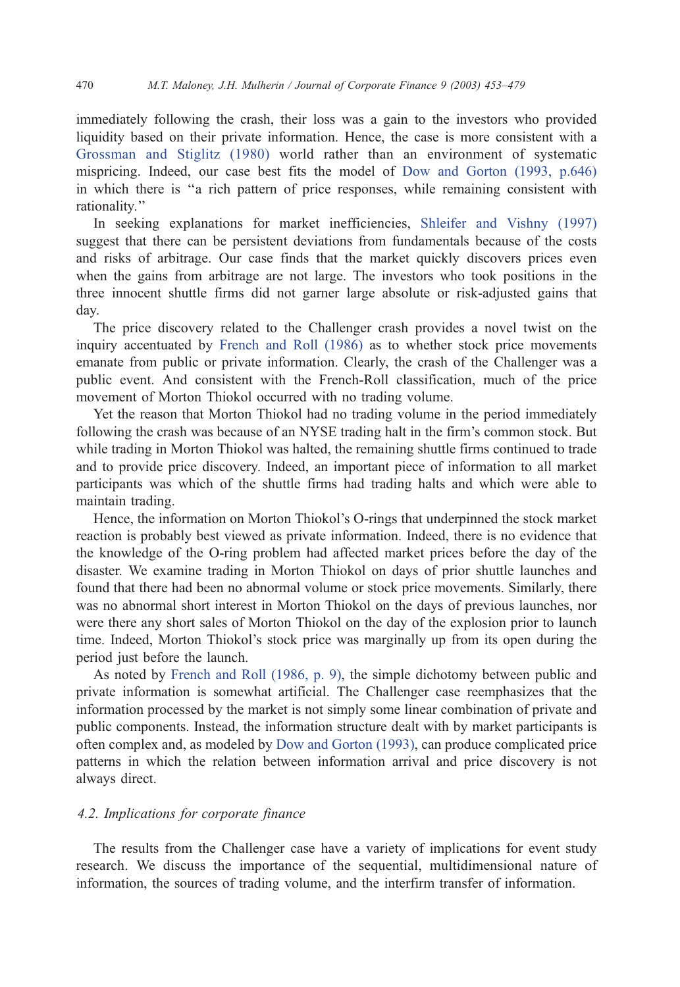immediately following the crash, their loss was a gain to the investors who provided liquidity based on their private information. Hence, the case is more consistent with a [Grossman and Stiglitz \(1980\)](#page-26-0) world rather than an environment of systematic mispricing. Indeed, our case best fits the model of [Dow and Gorton \(1993, p.646\)](#page-25-0) in which there is ''a rich pattern of price responses, while remaining consistent with rationality.''

In seeking explanations for market inefficiencies, [Shleifer and Vishny \(1997\)](#page-26-0) suggest that there can be persistent deviations from fundamentals because of the costs and risks of arbitrage. Our case finds that the market quickly discovers prices even when the gains from arbitrage are not large. The investors who took positions in the three innocent shuttle firms did not garner large absolute or risk-adjusted gains that day.

The price discovery related to the Challenger crash provides a novel twist on the inquiry accentuated by [French and Roll \(1986\)](#page-26-0) as to whether stock price movements emanate from public or private information. Clearly, the crash of the Challenger was a public event. And consistent with the French-Roll classification, much of the price movement of Morton Thiokol occurred with no trading volume.

Yet the reason that Morton Thiokol had no trading volume in the period immediately following the crash was because of an NYSE trading halt in the firm's common stock. But while trading in Morton Thiokol was halted, the remaining shuttle firms continued to trade and to provide price discovery. Indeed, an important piece of information to all market participants was which of the shuttle firms had trading halts and which were able to maintain trading.

Hence, the information on Morton Thiokol's O-rings that underpinned the stock market reaction is probably best viewed as private information. Indeed, there is no evidence that the knowledge of the O-ring problem had affected market prices before the day of the disaster. We examine trading in Morton Thiokol on days of prior shuttle launches and found that there had been no abnormal volume or stock price movements. Similarly, there was no abnormal short interest in Morton Thiokol on the days of previous launches, nor were there any short sales of Morton Thiokol on the day of the explosion prior to launch time. Indeed, Morton Thiokol's stock price was marginally up from its open during the period just before the launch.

As noted by [French and Roll \(1986, p. 9\),](#page-26-0) the simple dichotomy between public and private information is somewhat artificial. The Challenger case reemphasizes that the information processed by the market is not simply some linear combination of private and public components. Instead, the information structure dealt with by market participants is often complex and, as modeled by [Dow and Gorton \(1993\),](#page-25-0) can produce complicated price patterns in which the relation between information arrival and price discovery is not always direct.

#### 4.2. Implications for corporate finance

The results from the Challenger case have a variety of implications for event study research. We discuss the importance of the sequential, multidimensional nature of information, the sources of trading volume, and the interfirm transfer of information.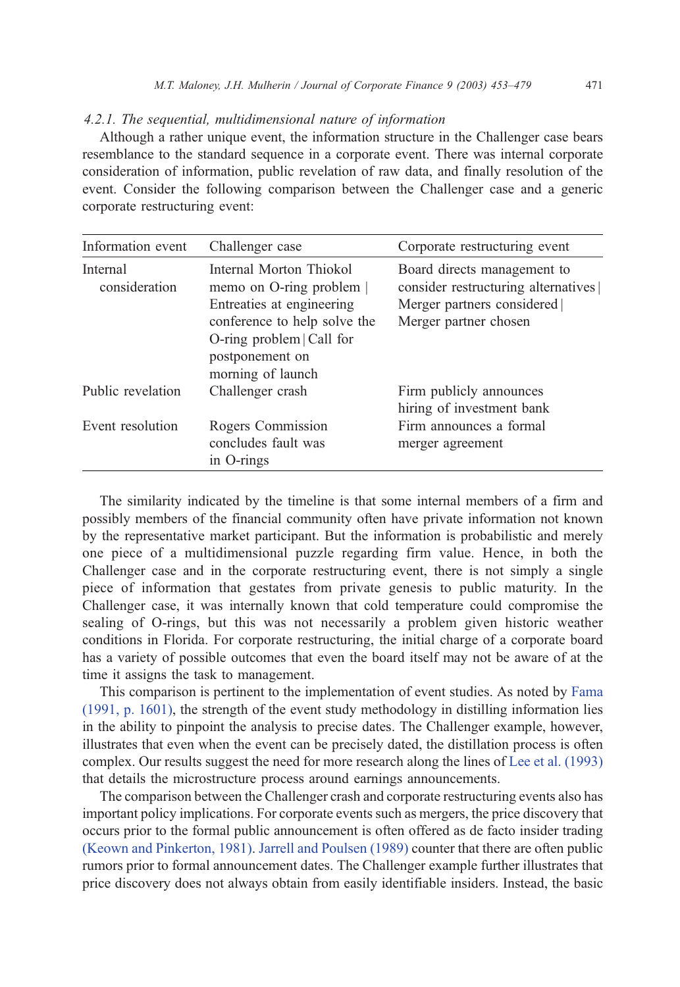#### 4.2.1. The sequential, multidimensional nature of information

Although a rather unique event, the information structure in the Challenger case bears resemblance to the standard sequence in a corporate event. There was internal corporate consideration of information, public revelation of raw data, and finally resolution of the event. Consider the following comparison between the Challenger case and a generic corporate restructuring event:

| Information event                | Challenger case                                                                                                                                   | Corporate restructuring event                                                                                             |
|----------------------------------|---------------------------------------------------------------------------------------------------------------------------------------------------|---------------------------------------------------------------------------------------------------------------------------|
| <b>Internal</b><br>consideration | Internal Morton Thiokol<br>memo on O-ring problem $ $<br>Entreaties at engineering<br>conference to help solve the<br>O-ring problem $ $ Call for | Board directs management to<br>consider restructuring alternatives<br>Merger partners considered<br>Merger partner chosen |
|                                  | postponement on<br>morning of launch                                                                                                              |                                                                                                                           |
| Public revelation                | Challenger crash                                                                                                                                  | Firm publicly announces<br>hiring of investment bank                                                                      |
| Event resolution                 | Rogers Commission<br>concludes fault was<br>in O-rings                                                                                            | Firm announces a formal<br>merger agreement                                                                               |

The similarity indicated by the timeline is that some internal members of a firm and possibly members of the financial community often have private information not known by the representative market participant. But the information is probabilistic and merely one piece of a multidimensional puzzle regarding firm value. Hence, in both the Challenger case and in the corporate restructuring event, there is not simply a single piece of information that gestates from private genesis to public maturity. In the Challenger case, it was internally known that cold temperature could compromise the sealing of O-rings, but this was not necessarily a problem given historic weather conditions in Florida. For corporate restructuring, the initial charge of a corporate board has a variety of possible outcomes that even the board itself may not be aware of at the time it assigns the task to management.

This comparison is pertinent to the implementation of event studies. As noted by [Fama](#page-25-0) (1991, p. 1601), the strength of the event study methodology in distilling information lies in the ability to pinpoint the analysis to precise dates. The Challenger example, however, illustrates that even when the event can be precisely dated, the distillation process is often complex. Our results suggest the need for more research along the lines of [Lee et al. \(1993\)](#page-26-0) that details the microstructure process around earnings announcements.

The comparison between the Challenger crash and corporate restructuring events also has important policy implications. For corporate events such as mergers, the price discovery that occurs prior to the formal public announcement is often offered as de facto insider trading [\(Keown and Pinkerton, 1981\).](#page-26-0) [Jarrell and Poulsen \(1989\)](#page-26-0) counter that there are often public rumors prior to formal announcement dates. The Challenger example further illustrates that price discovery does not always obtain from easily identifiable insiders. Instead, the basic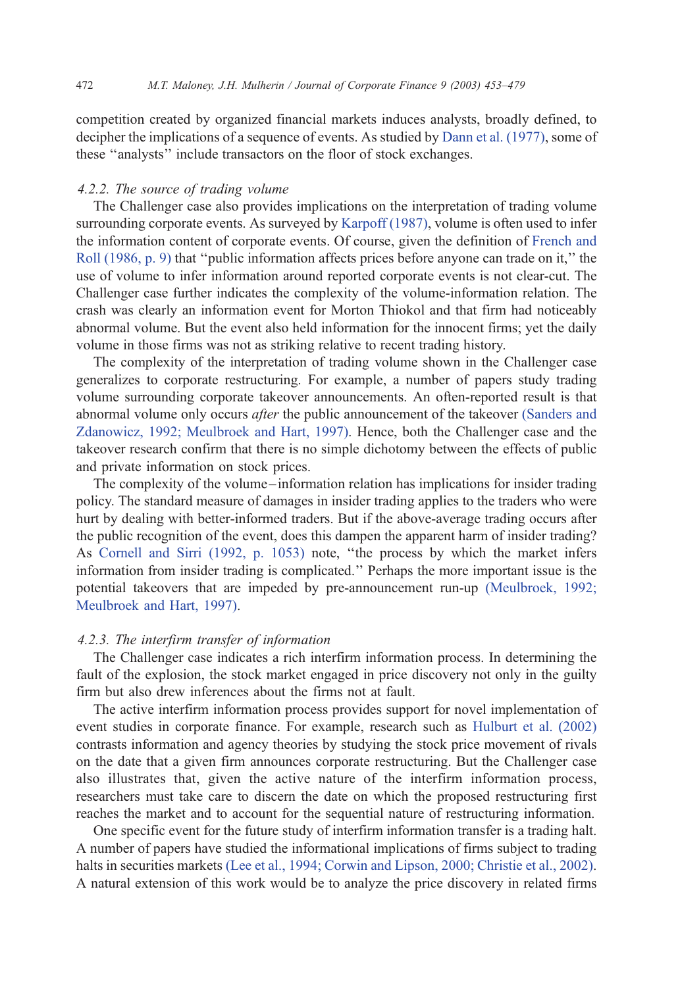competition created by organized financial markets induces analysts, broadly defined, to decipher the implications of a sequence of events. As studied by [Dann et al. \(1977\),](#page-25-0) some of these ''analysts'' include transactors on the floor of stock exchanges.

#### 4.2.2. The source of trading volume

The Challenger case also provides implications on the interpretation of trading volume surrounding corporate events. As surveyed by [Karpoff \(1987\),](#page-26-0) volume is often used to infer the information content of corporate events. Of course, given the definition of [French and](#page-26-0) Roll (1986, p. 9) that ''public information affects prices before anyone can trade on it,'' the use of volume to infer information around reported corporate events is not clear-cut. The Challenger case further indicates the complexity of the volume-information relation. The crash was clearly an information event for Morton Thiokol and that firm had noticeably abnormal volume. But the event also held information for the innocent firms; yet the daily volume in those firms was not as striking relative to recent trading history.

The complexity of the interpretation of trading volume shown in the Challenger case generalizes to corporate restructuring. For example, a number of papers study trading volume surrounding corporate takeover announcements. An often-reported result is that abnormal volume only occurs *after* the public announcement of the takeover [\(Sanders and](#page-26-0) Zdanowicz, 1992; Meulbroek and Hart, 1997). Hence, both the Challenger case and the takeover research confirm that there is no simple dichotomy between the effects of public and private information on stock prices.

The complexity of the volume –information relation has implications for insider trading policy. The standard measure of damages in insider trading applies to the traders who were hurt by dealing with better-informed traders. But if the above-average trading occurs after the public recognition of the event, does this dampen the apparent harm of insider trading? As [Cornell and Sirri \(1992, p. 1053\)](#page-25-0) note, ''the process by which the market infers information from insider trading is complicated.'' Perhaps the more important issue is the potential takeovers that are impeded by pre-announcement run-up [\(Meulbroek, 1992;](#page-26-0) Meulbroek and Hart, 1997).

### 4.2.3. The interfirm transfer of information

The Challenger case indicates a rich interfirm information process. In determining the fault of the explosion, the stock market engaged in price discovery not only in the guilty firm but also drew inferences about the firms not at fault.

The active interfirm information process provides support for novel implementation of event studies in corporate finance. For example, research such as [Hulburt et al. \(2002\)](#page-26-0) contrasts information and agency theories by studying the stock price movement of rivals on the date that a given firm announces corporate restructuring. But the Challenger case also illustrates that, given the active nature of the interfirm information process, researchers must take care to discern the date on which the proposed restructuring first reaches the market and to account for the sequential nature of restructuring information.

One specific event for the future study of interfirm information transfer is a trading halt. A number of papers have studied the informational implications of firms subject to trading halts in securities markets [\(Lee et al., 1994; Corwin and Lipson, 2000; Christie et al., 2002\).](#page-26-0) A natural extension of this work would be to analyze the price discovery in related firms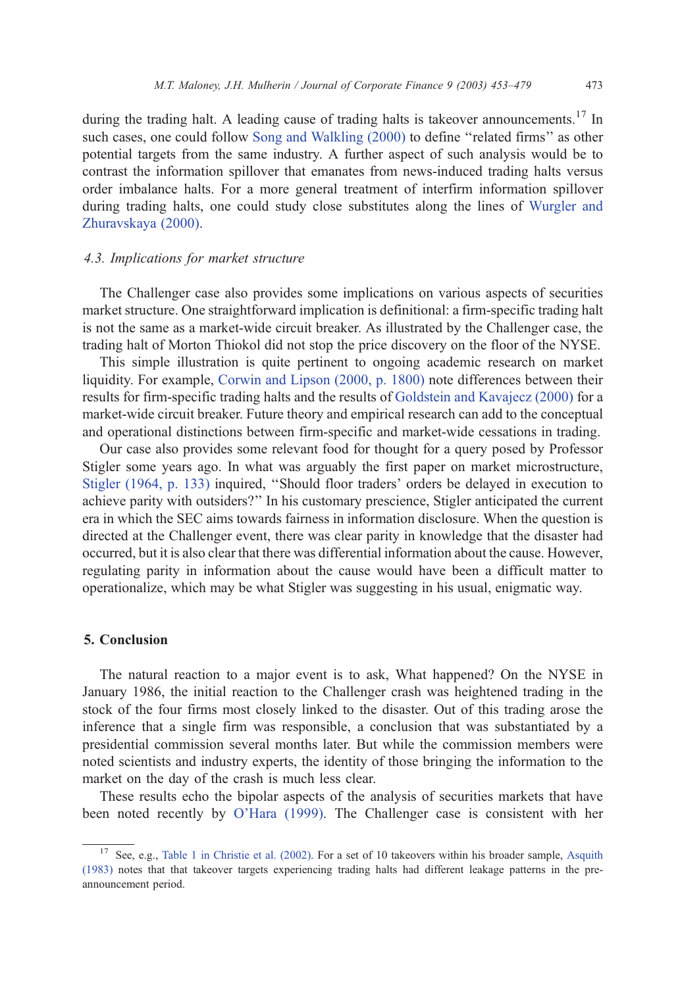during the trading halt. A leading cause of trading halts is takeover announcements.<sup>17</sup> In such cases, one could follow [Song and Walkling \(2000\)](#page-26-0) to define ''related firms'' as other potential targets from the same industry. A further aspect of such analysis would be to contrast the information spillover that emanates from news-induced trading halts versus order imbalance halts. For a more general treatment of interfirm information spillover during trading halts, one could study close substitutes along the lines of [Wurgler and](#page-26-0) Zhuravskaya (2000).

#### 4.3. Implications for market structure

The Challenger case also provides some implications on various aspects of securities market structure. One straightforward implication is definitional: a firm-specific trading halt is not the same as a market-wide circuit breaker. As illustrated by the Challenger case, the trading halt of Morton Thiokol did not stop the price discovery on the floor of the NYSE.

This simple illustration is quite pertinent to ongoing academic research on market liquidity. For example, [Corwin and Lipson \(2000, p. 1800\)](#page-25-0) note differences between their results for firm-specific trading halts and the results of [Goldstein and Kavajecz \(2000\)](#page-26-0) for a market-wide circuit breaker. Future theory and empirical research can add to the conceptual and operational distinctions between firm-specific and market-wide cessations in trading.

Our case also provides some relevant food for thought for a query posed by Professor Stigler some years ago. In what was arguably the first paper on market microstructure, [Stigler \(1964, p. 133\)](#page-26-0) inquired, ''Should floor traders' orders be delayed in execution to achieve parity with outsiders?'' In his customary prescience, Stigler anticipated the current era in which the SEC aims towards fairness in information disclosure. When the question is directed at the Challenger event, there was clear parity in knowledge that the disaster had occurred, but it is also clear that there was differential information about the cause. However, regulating parity in information about the cause would have been a difficult matter to operationalize, which may be what Stigler was suggesting in his usual, enigmatic way.

#### 5. Conclusion

The natural reaction to a major event is to ask, What happened? On the NYSE in January 1986, the initial reaction to the Challenger crash was heightened trading in the stock of the four firms most closely linked to the disaster. Out of this trading arose the inference that a single firm was responsible, a conclusion that was substantiated by a presidential commission several months later. But while the commission members were noted scientists and industry experts, the identity of those bringing the information to the market on the day of the crash is much less clear.

These results echo the bipolar aspects of the analysis of securities markets that have been noted recently by [O'Hara \(1999\).](#page-26-0) The Challenger case is consistent with her

<sup>&</sup>lt;sup>17</sup> See, e.g., [Table 1 in Christie et al. \(2002\).](#page-25-0) For a set of 10 takeovers within his broader sample, [Asquith](#page-25-0) (1983) notes that that takeover targets experiencing trading halts had different leakage patterns in the preannouncement period.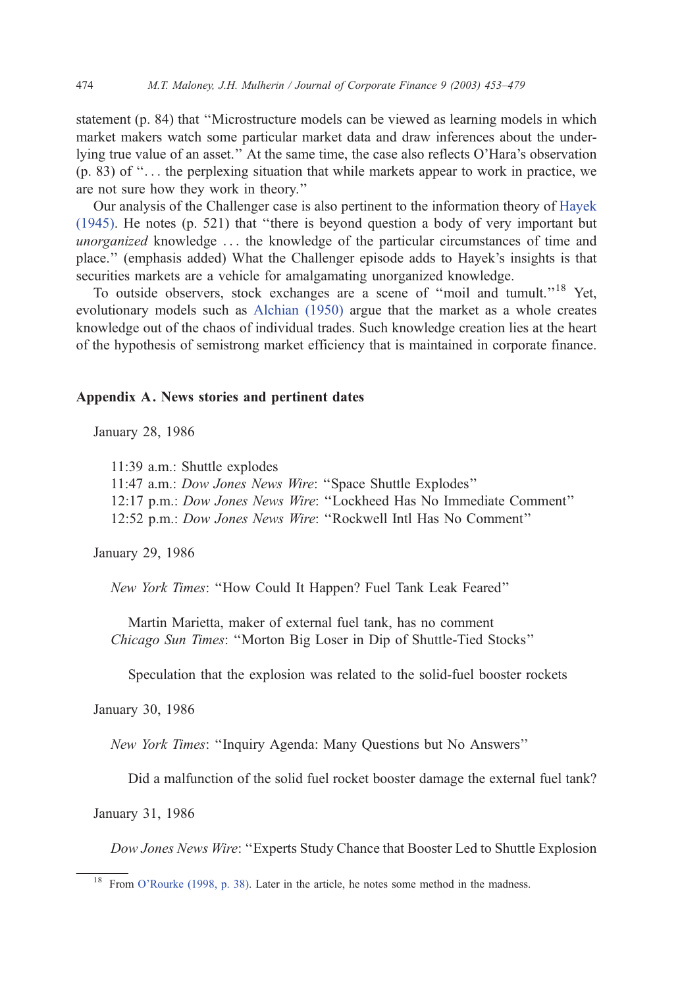statement (p. 84) that ''Microstructure models can be viewed as learning models in which market makers watch some particular market data and draw inferences about the underlying true value of an asset.'' At the same time, the case also reflects O'Hara's observation (p. 83) of ''... the perplexing situation that while markets appear to work in practice, we are not sure how they work in theory.''

Our analysis of the Challenger case is also pertinent to the information theory of [Hayek](#page-26-0) (1945). He notes (p. 521) that ''there is beyond question a body of very important but unorganized knowledge ... the knowledge of the particular circumstances of time and place.'' (emphasis added) What the Challenger episode adds to Hayek's insights is that securities markets are a vehicle for amalgamating unorganized knowledge.

To outside observers, stock exchanges are a scene of ''moil and tumult.''<sup>18</sup> Yet, evolutionary models such as [Alchian \(1950\)](#page-25-0) argue that the market as a whole creates knowledge out of the chaos of individual trades. Such knowledge creation lies at the heart of the hypothesis of semistrong market efficiency that is maintained in corporate finance.

#### Appendix A. News stories and pertinent dates

January 28, 1986

11:39 a.m.: Shuttle explodes 11:47 a.m.: Dow Jones News Wire: ''Space Shuttle Explodes'' 12:17 p.m.: Dow Jones News Wire: ''Lockheed Has No Immediate Comment'' 12:52 p.m.: Dow Jones News Wire: ''Rockwell Intl Has No Comment''

January 29, 1986

New York Times: ''How Could It Happen? Fuel Tank Leak Feared''

Martin Marietta, maker of external fuel tank, has no comment Chicago Sun Times: ''Morton Big Loser in Dip of Shuttle-Tied Stocks''

Speculation that the explosion was related to the solid-fuel booster rockets

January 30, 1986

New York Times: ''Inquiry Agenda: Many Questions but No Answers''

Did a malfunction of the solid fuel rocket booster damage the external fuel tank?

January 31, 1986

Dow Jones News Wire: ''Experts Study Chance that Booster Led to Shuttle Explosion

<sup>&</sup>lt;sup>18</sup> From [O'Rourke \(1998, p. 38\).](#page-26-0) Later in the article, he notes some method in the madness.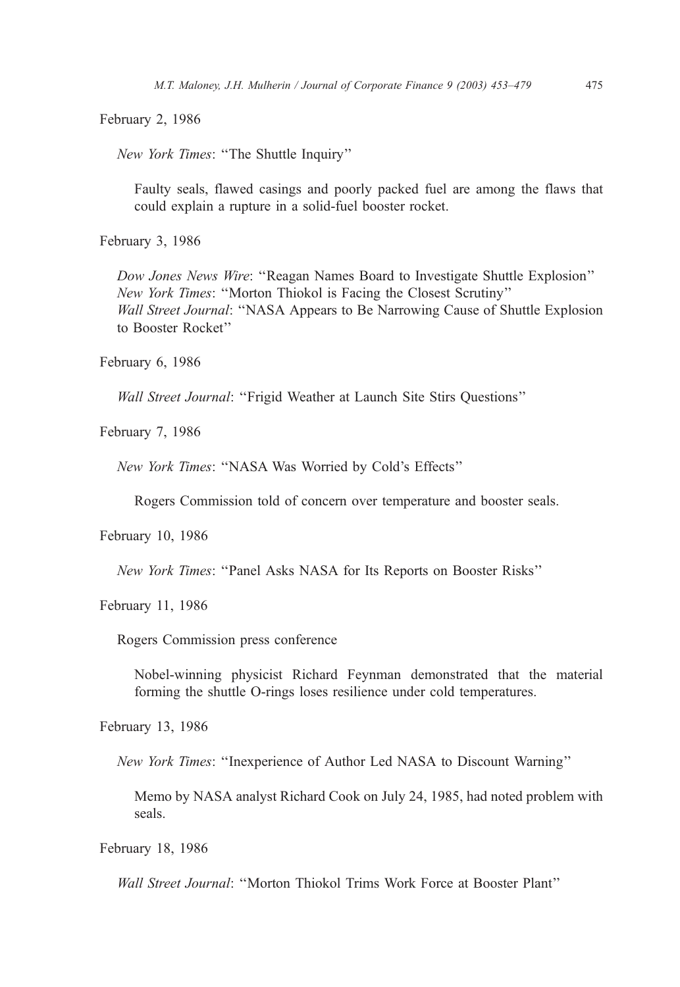February 2, 1986

New York Times: ''The Shuttle Inquiry''

Faulty seals, flawed casings and poorly packed fuel are among the flaws that could explain a rupture in a solid-fuel booster rocket.

February 3, 1986

Dow Jones News Wire: ''Reagan Names Board to Investigate Shuttle Explosion'' New York Times: ''Morton Thiokol is Facing the Closest Scrutiny'' Wall Street Journal: ''NASA Appears to Be Narrowing Cause of Shuttle Explosion to Booster Rocket''

February 6, 1986

Wall Street Journal: "Frigid Weather at Launch Site Stirs Questions"

February 7, 1986

New York Times: ''NASA Was Worried by Cold's Effects''

Rogers Commission told of concern over temperature and booster seals.

February 10, 1986

New York Times: ''Panel Asks NASA for Its Reports on Booster Risks''

February 11, 1986

Rogers Commission press conference

Nobel-winning physicist Richard Feynman demonstrated that the material forming the shuttle O-rings loses resilience under cold temperatures.

February 13, 1986

New York Times: ''Inexperience of Author Led NASA to Discount Warning''

Memo by NASA analyst Richard Cook on July 24, 1985, had noted problem with seals.

February 18, 1986

Wall Street Journal: "Morton Thiokol Trims Work Force at Booster Plant"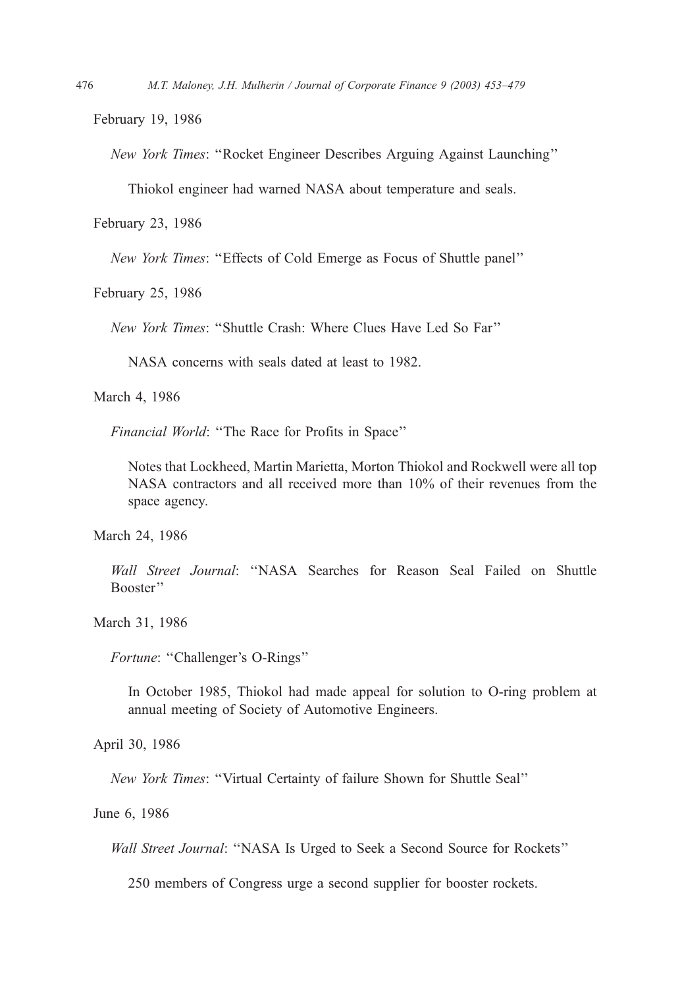February 19, 1986

New York Times: ''Rocket Engineer Describes Arguing Against Launching''

Thiokol engineer had warned NASA about temperature and seals.

February 23, 1986

New York Times: ''Effects of Cold Emerge as Focus of Shuttle panel''

February 25, 1986

New York Times: ''Shuttle Crash: Where Clues Have Led So Far''

NASA concerns with seals dated at least to 1982.

March 4, 1986

Financial World: ''The Race for Profits in Space''

Notes that Lockheed, Martin Marietta, Morton Thiokol and Rockwell were all top NASA contractors and all received more than 10% of their revenues from the space agency.

March 24, 1986

Wall Street Journal: ''NASA Searches for Reason Seal Failed on Shuttle Booster''

March 31, 1986

Fortune: ''Challenger's O-Rings''

In October 1985, Thiokol had made appeal for solution to O-ring problem at annual meeting of Society of Automotive Engineers.

April 30, 1986

New York Times: ''Virtual Certainty of failure Shown for Shuttle Seal''

June 6, 1986

Wall Street Journal: "NASA Is Urged to Seek a Second Source for Rockets"

250 members of Congress urge a second supplier for booster rockets.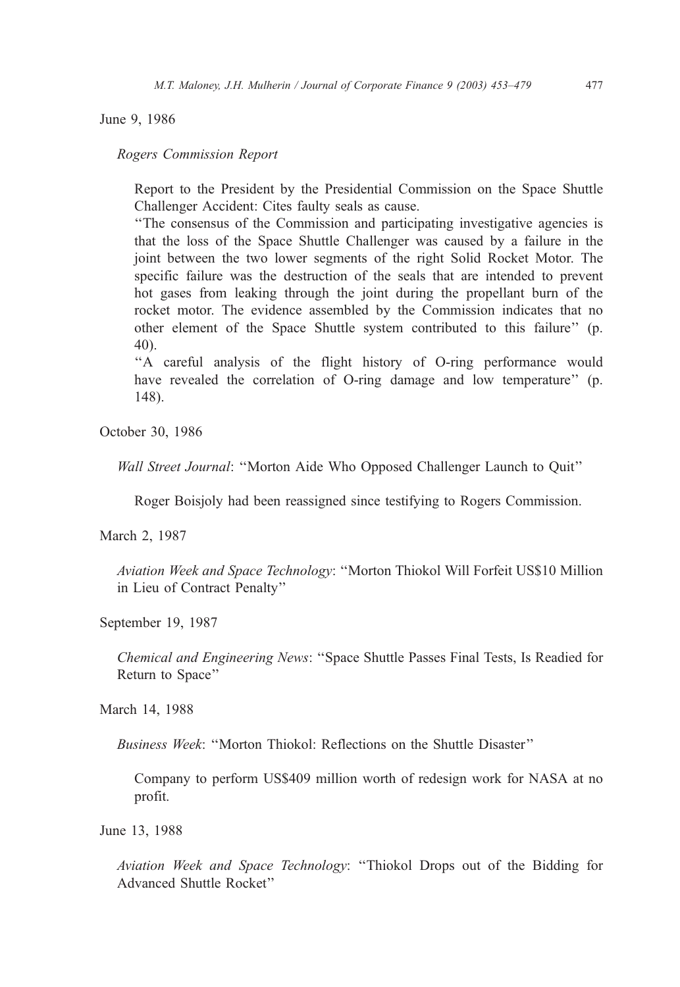June 9, 1986

#### Rogers Commission Report

Report to the President by the Presidential Commission on the Space Shuttle Challenger Accident: Cites faulty seals as cause.

''The consensus of the Commission and participating investigative agencies is that the loss of the Space Shuttle Challenger was caused by a failure in the joint between the two lower segments of the right Solid Rocket Motor. The specific failure was the destruction of the seals that are intended to prevent hot gases from leaking through the joint during the propellant burn of the rocket motor. The evidence assembled by the Commission indicates that no other element of the Space Shuttle system contributed to this failure'' (p. 40).

''A careful analysis of the flight history of O-ring performance would have revealed the correlation of O-ring damage and low temperature" (p. 148).

October 30, 1986

Wall Street Journal: "Morton Aide Who Opposed Challenger Launch to Quit"

Roger Boisjoly had been reassigned since testifying to Rogers Commission.

March 2, 1987

Aviation Week and Space Technology: ''Morton Thiokol Will Forfeit US\$10 Million in Lieu of Contract Penalty''

September 19, 1987

Chemical and Engineering News: ''Space Shuttle Passes Final Tests, Is Readied for Return to Space''

March 14, 1988

Business Week: ''Morton Thiokol: Reflections on the Shuttle Disaster''

Company to perform US\$409 million worth of redesign work for NASA at no profit.

June 13, 1988

Aviation Week and Space Technology: ''Thiokol Drops out of the Bidding for Advanced Shuttle Rocket''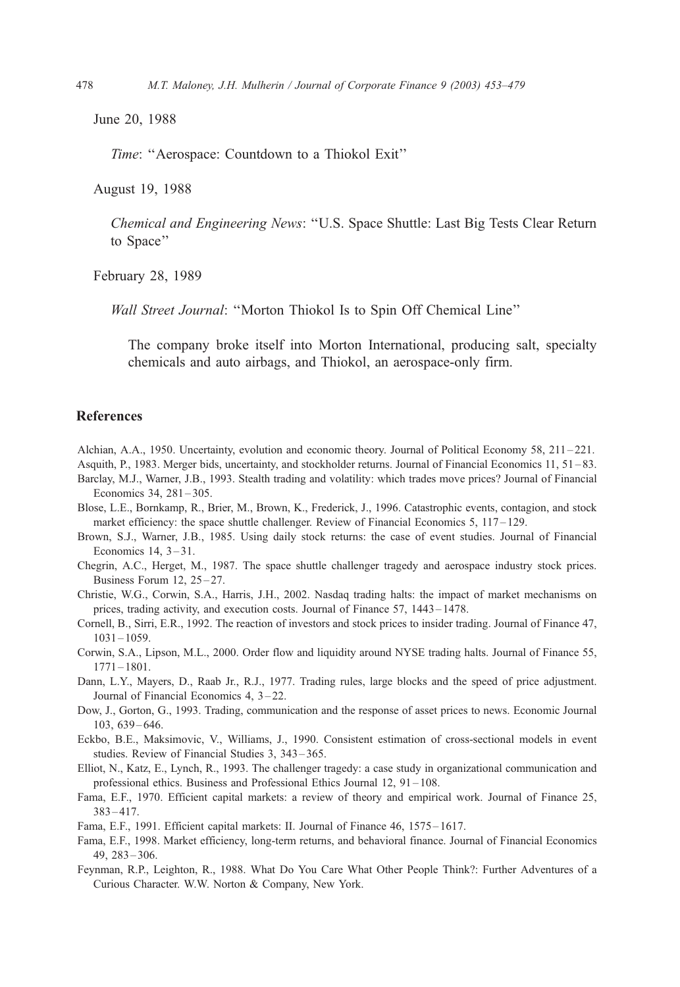June 20, 1988

Time: ''Aerospace: Countdown to a Thiokol Exit''

August 19, 1988

Chemical and Engineering News: ''U.S. Space Shuttle: Last Big Tests Clear Return to Space''

February 28, 1989

Wall Street Journal: "Morton Thiokol Is to Spin Off Chemical Line"

The company broke itself into Morton International, producing salt, specialty chemicals and auto airbags, and Thiokol, an aerospace-only firm.

#### References

Alchian, A.A., 1950. Uncertainty, evolution and economic theory. Journal of Political Economy 58, 211 – 221.

- Asquith, P., 1983. Merger bids, uncertainty, and stockholder returns. Journal of Financial Economics 11, 51 83. Barclay, M.J., Warner, J.B., 1993. Stealth trading and volatility: which trades move prices? Journal of Financial
- Economics 34, 281 305.
- Blose, L.E., Bornkamp, R., Brier, M., Brown, K., Frederick, J., 1996. Catastrophic events, contagion, and stock market efficiency: the space shuttle challenger. Review of Financial Economics 5, 117–129.
- Brown, S.J., Warner, J.B., 1985. Using daily stock returns: the case of event studies. Journal of Financial Economics 14,  $3-31$ .
- Chegrin, A.C., Herget, M., 1987. The space shuttle challenger tragedy and aerospace industry stock prices. Business Forum 12,  $25 - 27$ .
- Christie, W.G., Corwin, S.A., Harris, J.H., 2002. Nasdaq trading halts: the impact of market mechanisms on prices, trading activity, and execution costs. Journal of Finance 57, 1443 – 1478.
- Cornell, B., Sirri, E.R., 1992. The reaction of investors and stock prices to insider trading. Journal of Finance 47, 1031 – 1059.
- Corwin, S.A., Lipson, M.L., 2000. Order flow and liquidity around NYSE trading halts. Journal of Finance 55, 1771 – 1801.
- Dann, L.Y., Mayers, D., Raab Jr., R.J., 1977. Trading rules, large blocks and the speed of price adjustment. Journal of Financial Economics 4, 3 – 22.
- Dow, J., Gorton, G., 1993. Trading, communication and the response of asset prices to news. Economic Journal 103, 639 – 646.
- Eckbo, B.E., Maksimovic, V., Williams, J., 1990. Consistent estimation of cross-sectional models in event studies. Review of Financial Studies 3, 343 – 365.
- Elliot, N., Katz, E., Lynch, R., 1993. The challenger tragedy: a case study in organizational communication and professional ethics. Business and Professional Ethics Journal 12, 91 – 108.
- Fama, E.F., 1970. Efficient capital markets: a review of theory and empirical work. Journal of Finance 25,  $383 - 417$ .
- Fama, E.F., 1991. Efficient capital markets: II. Journal of Finance 46, 1575 1617.
- Fama, E.F., 1998. Market efficiency, long-term returns, and behavioral finance. Journal of Financial Economics 49, 283 – 306.
- Feynman, R.P., Leighton, R., 1988. What Do You Care What Other People Think?: Further Adventures of a Curious Character. W.W. Norton & Company, New York.

<span id="page-25-0"></span>